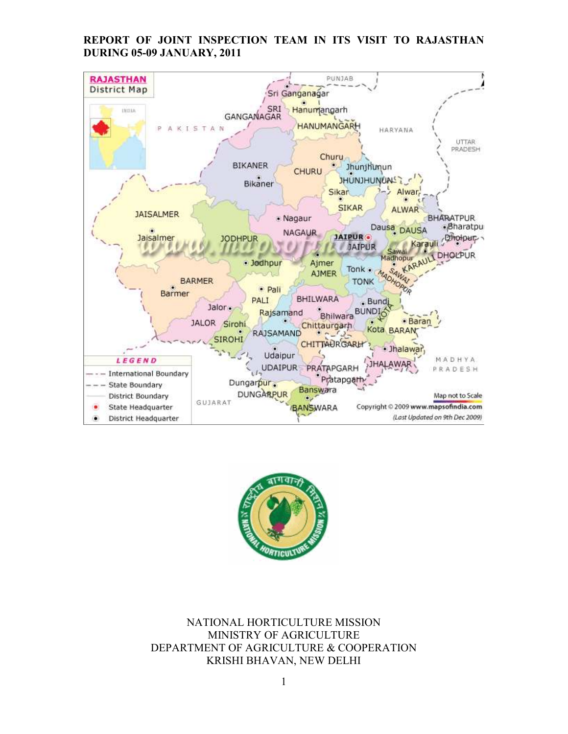# REPORT OF JOINT INSPECTION TEAM IN ITS VISIT TO RAJASTHAN DURING 05-09 JANUARY, 2011





NATIONAL HORTICULTURE MISSION MINISTRY OF AGRICULTURE DEPARTMENT OF AGRICULTURE & COOPERATION KRISHI BHAVAN, NEW DELHI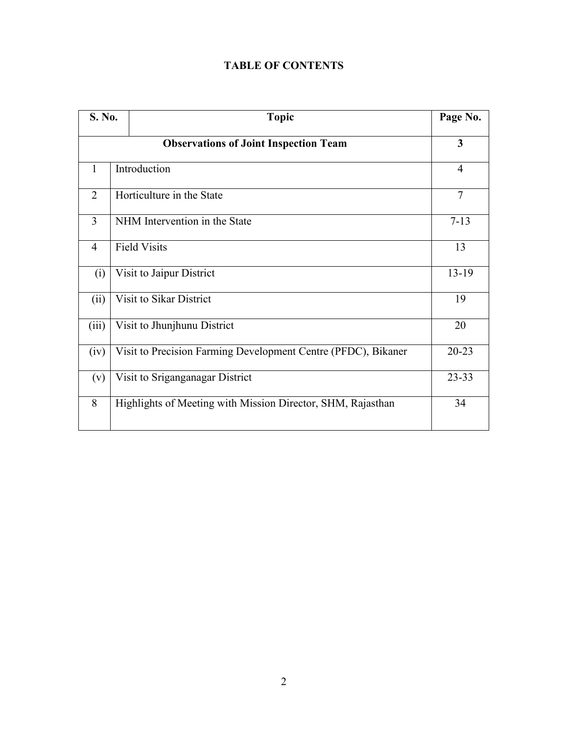|  | <b>TABLE OF CONTENTS</b> |
|--|--------------------------|
|--|--------------------------|

|                | S. No.<br><b>Topic</b>                       |                                                               | Page No.       |  |  |  |  |
|----------------|----------------------------------------------|---------------------------------------------------------------|----------------|--|--|--|--|
|                | <b>Observations of Joint Inspection Team</b> |                                                               |                |  |  |  |  |
| $\mathbf{1}$   |                                              | Introduction                                                  | $\overline{4}$ |  |  |  |  |
| 2              |                                              | Horticulture in the State                                     | $\overline{7}$ |  |  |  |  |
| 3              | NHM Intervention in the State                |                                                               | $7 - 13$       |  |  |  |  |
| $\overline{4}$ |                                              | <b>Field Visits</b>                                           | 13             |  |  |  |  |
| (i)            |                                              | Visit to Jaipur District                                      | $13-19$        |  |  |  |  |
| (ii)           |                                              | Visit to Sikar District                                       | 19             |  |  |  |  |
| (iii)          |                                              | Visit to Jhunjhunu District                                   | 20             |  |  |  |  |
| (iv)           |                                              | Visit to Precision Farming Development Centre (PFDC), Bikaner | $20 - 23$      |  |  |  |  |
| (v)            |                                              | Visit to Sriganganagar District                               | $23 - 33$      |  |  |  |  |
| 8              |                                              | Highlights of Meeting with Mission Director, SHM, Rajasthan   | 34             |  |  |  |  |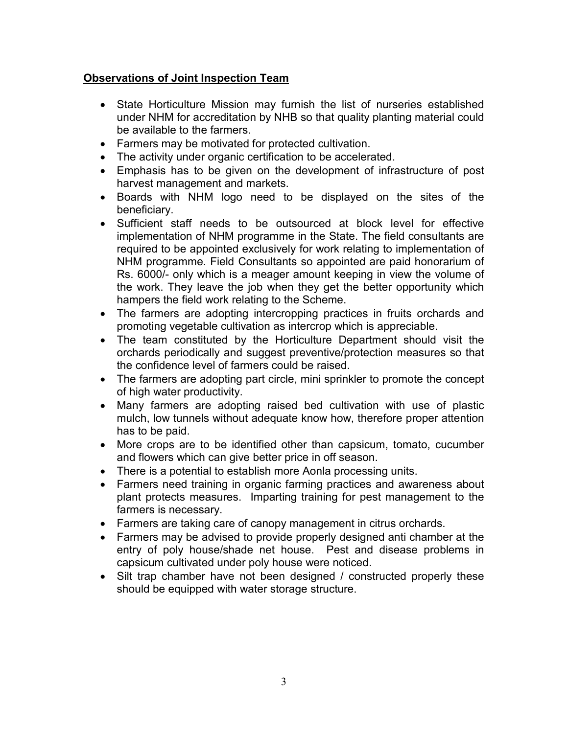# Observations of Joint Inspection Team

- State Horticulture Mission may furnish the list of nurseries established under NHM for accreditation by NHB so that quality planting material could be available to the farmers.
- Farmers may be motivated for protected cultivation.
- The activity under organic certification to be accelerated.
- Emphasis has to be given on the development of infrastructure of post harvest management and markets.
- Boards with NHM logo need to be displayed on the sites of the beneficiary.
- Sufficient staff needs to be outsourced at block level for effective implementation of NHM programme in the State. The field consultants are required to be appointed exclusively for work relating to implementation of NHM programme. Field Consultants so appointed are paid honorarium of Rs. 6000/- only which is a meager amount keeping in view the volume of the work. They leave the job when they get the better opportunity which hampers the field work relating to the Scheme.
- The farmers are adopting intercropping practices in fruits orchards and promoting vegetable cultivation as intercrop which is appreciable.
- The team constituted by the Horticulture Department should visit the orchards periodically and suggest preventive/protection measures so that the confidence level of farmers could be raised.
- The farmers are adopting part circle, mini sprinkler to promote the concept of high water productivity.
- Many farmers are adopting raised bed cultivation with use of plastic mulch, low tunnels without adequate know how, therefore proper attention has to be paid.
- More crops are to be identified other than capsicum, tomato, cucumber and flowers which can give better price in off season.
- There is a potential to establish more Aonla processing units.
- Farmers need training in organic farming practices and awareness about plant protects measures. Imparting training for pest management to the farmers is necessary.
- Farmers are taking care of canopy management in citrus orchards.
- Farmers may be advised to provide properly designed anti chamber at the entry of poly house/shade net house. Pest and disease problems in capsicum cultivated under poly house were noticed.
- Silt trap chamber have not been designed / constructed properly these should be equipped with water storage structure.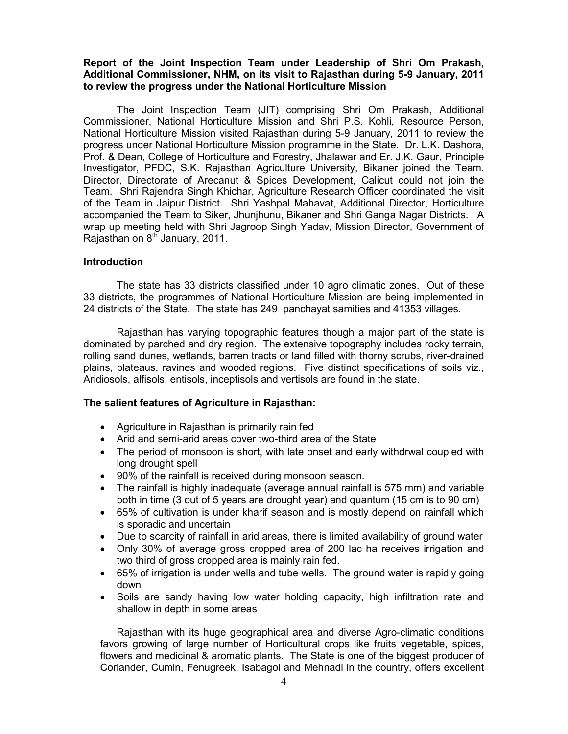## Report of the Joint Inspection Team under Leadership of Shri Om Prakash, Additional Commissioner, NHM, on its visit to Rajasthan during 5-9 January, 2011 to review the progress under the National Horticulture Mission

 The Joint Inspection Team (JIT) comprising Shri Om Prakash, Additional Commissioner, National Horticulture Mission and Shri P.S. Kohli, Resource Person, National Horticulture Mission visited Rajasthan during 5-9 January, 2011 to review the progress under National Horticulture Mission programme in the State. Dr. L.K. Dashora, Prof. & Dean, College of Horticulture and Forestry, Jhalawar and Er. J.K. Gaur, Principle Investigator, PFDC, S.K. Rajasthan Agriculture University, Bikaner joined the Team. Director, Directorate of Arecanut & Spices Development, Calicut could not join the Team. Shri Rajendra Singh Khichar, Agriculture Research Officer coordinated the visit of the Team in Jaipur District. Shri Yashpal Mahavat, Additional Director, Horticulture accompanied the Team to Siker, Jhunjhunu, Bikaner and Shri Ganga Nagar Districts. A wrap up meeting held with Shri Jagroop Singh Yadav, Mission Director, Government of Rajasthan on  $8<sup>th</sup>$  January, 2011.

#### Introduction

The state has 33 districts classified under 10 agro climatic zones. Out of these 33 districts, the programmes of National Horticulture Mission are being implemented in 24 districts of the State. The state has 249 panchayat samities and 41353 villages.

 Rajasthan has varying topographic features though a major part of the state is dominated by parched and dry region. The extensive topography includes rocky terrain, rolling sand dunes, wetlands, barren tracts or land filled with thorny scrubs, river-drained plains, plateaus, ravines and wooded regions. Five distinct specifications of soils viz., Aridiosols, alfisols, entisols, inceptisols and vertisols are found in the state.

#### The salient features of Agriculture in Rajasthan:

- Agriculture in Rajasthan is primarily rain fed
- Arid and semi-arid areas cover two-third area of the State
- The period of monsoon is short, with late onset and early withdrwal coupled with long drought spell
- 90% of the rainfall is received during monsoon season.
- The rainfall is highly inadequate (average annual rainfall is 575 mm) and variable both in time (3 out of 5 years are drought year) and quantum (15 cm is to 90 cm)
- 65% of cultivation is under kharif season and is mostly depend on rainfall which is sporadic and uncertain
- Due to scarcity of rainfall in arid areas, there is limited availability of ground water
- Only 30% of average gross cropped area of 200 lac ha receives irrigation and two third of gross cropped area is mainly rain fed.
- 65% of irrigation is under wells and tube wells. The ground water is rapidly going down
- Soils are sandy having low water holding capacity, high infiltration rate and shallow in depth in some areas

Rajasthan with its huge geographical area and diverse Agro-climatic conditions favors growing of large number of Horticultural crops like fruits vegetable, spices, flowers and medicinal & aromatic plants. The State is one of the biggest producer of Coriander, Cumin, Fenugreek, Isabagol and Mehnadi in the country, offers excellent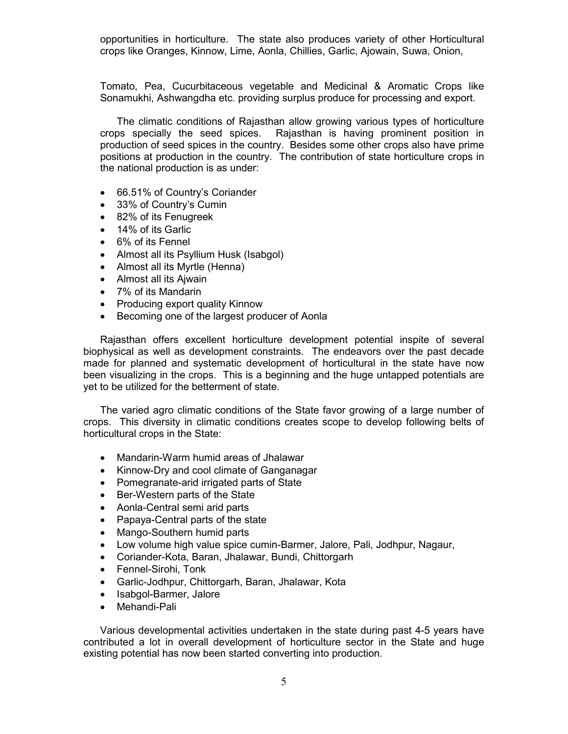opportunities in horticulture. The state also produces variety of other Horticultural crops like Oranges, Kinnow, Lime, Aonla, Chillies, Garlic, Ajowain, Suwa, Onion,

Tomato, Pea, Cucurbitaceous vegetable and Medicinal & Aromatic Crops like Sonamukhi, Ashwangdha etc. providing surplus produce for processing and export.

 The climatic conditions of Rajasthan allow growing various types of horticulture crops specially the seed spices. Rajasthan is having prominent position in production of seed spices in the country. Besides some other crops also have prime positions at production in the country. The contribution of state horticulture crops in the national production is as under:

- 66.51% of Country's Coriander
- 33% of Country's Cumin
- 82% of its Fenugreek
- 14% of its Garlic
- 6% of its Fennel
- Almost all its Psyllium Husk (Isabgol)
- Almost all its Myrtle (Henna)
- Almost all its Ajwain
- 7% of its Mandarin
- Producing export quality Kinnow
- Becoming one of the largest producer of Aonla

Rajasthan offers excellent horticulture development potential inspite of several biophysical as well as development constraints. The endeavors over the past decade made for planned and systematic development of horticultural in the state have now been visualizing in the crops. This is a beginning and the huge untapped potentials are yet to be utilized for the betterment of state.

The varied agro climatic conditions of the State favor growing of a large number of crops. This diversity in climatic conditions creates scope to develop following belts of horticultural crops in the State:

- Mandarin-Warm humid areas of Jhalawar
- Kinnow-Dry and cool climate of Ganganagar
- Pomegranate-arid irrigated parts of State
- Ber-Western parts of the State
- Aonla-Central semi arid parts
- Papaya-Central parts of the state
- Mango-Southern humid parts
- Low volume high value spice cumin-Barmer, Jalore, Pali, Jodhpur, Nagaur,
- Coriander-Kota, Baran, Jhalawar, Bundi, Chittorgarh
- Fennel-Sirohi, Tonk
- Garlic-Jodhpur, Chittorgarh, Baran, Jhalawar, Kota
- Isabgol-Barmer, Jalore
- Mehandi-Pali

Various developmental activities undertaken in the state during past 4-5 years have contributed a lot in overall development of horticulture sector in the State and huge existing potential has now been started converting into production.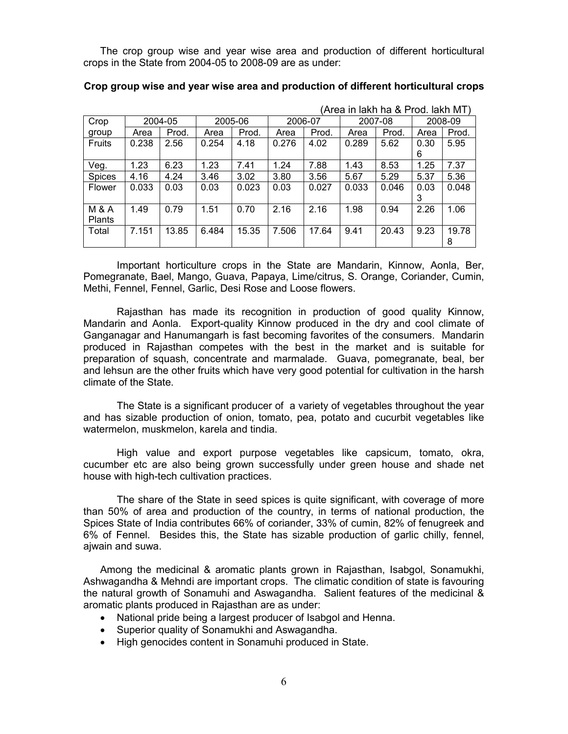The crop group wise and year wise area and production of different horticultural crops in the State from 2004-05 to 2008-09 are as under:

|                  |       |         |       |         | (Area in lakh ha & Prod. lakh MT) |       |       |         |      |         |
|------------------|-------|---------|-------|---------|-----------------------------------|-------|-------|---------|------|---------|
| Crop             |       | 2004-05 |       | 2005-06 | 2006-07                           |       |       | 2007-08 |      | 2008-09 |
| group            | Area  | Prod.   | Area  | Prod.   | Area                              | Prod. | Area  | Prod.   | Area | Prod.   |
| <b>Fruits</b>    | 0.238 | 2.56    | 0.254 | 4.18    | 0.276                             | 4.02  | 0.289 | 5.62    | 0.30 | 5.95    |
|                  |       |         |       |         |                                   |       |       |         | 6    |         |
| Veg.             | 1.23  | 6.23    | 1.23  | 7.41    | 1.24                              | 7.88  | 1.43  | 8.53    | 1.25 | 7.37    |
| <b>Spices</b>    | 4.16  | 4.24    | 3.46  | 3.02    | 3.80                              | 3.56  | 5.67  | 5.29    | 5.37 | 5.36    |
| Flower           | 0.033 | 0.03    | 0.03  | 0.023   | 0.03                              | 0.027 | 0.033 | 0.046   | 0.03 | 0.048   |
|                  |       |         |       |         |                                   |       |       |         | 3    |         |
| <b>M &amp; A</b> | 1.49  | 0.79    | 1.51  | 0.70    | 2.16                              | 2.16  | 1.98  | 0.94    | 2.26 | 1.06    |
| <b>Plants</b>    |       |         |       |         |                                   |       |       |         |      |         |
| Total            | 7.151 | 13.85   | 6.484 | 15.35   | 7.506                             | 17.64 | 9.41  | 20.43   | 9.23 | 19.78   |
|                  |       |         |       |         |                                   |       |       |         |      | 8       |

#### Crop group wise and year wise area and production of different horticultural crops

Important horticulture crops in the State are Mandarin, Kinnow, Aonla, Ber, Pomegranate, Bael, Mango, Guava, Papaya, Lime/citrus, S. Orange, Coriander, Cumin, Methi, Fennel, Fennel, Garlic, Desi Rose and Loose flowers.

Rajasthan has made its recognition in production of good quality Kinnow, Mandarin and Aonla. Export-quality Kinnow produced in the dry and cool climate of Ganganagar and Hanumangarh is fast becoming favorites of the consumers. Mandarin produced in Rajasthan competes with the best in the market and is suitable for preparation of squash, concentrate and marmalade. Guava, pomegranate, beal, ber and lehsun are the other fruits which have very good potential for cultivation in the harsh climate of the State.

The State is a significant producer of a variety of vegetables throughout the year and has sizable production of onion, tomato, pea, potato and cucurbit vegetables like watermelon, muskmelon, karela and tindia.

High value and export purpose vegetables like capsicum, tomato, okra, cucumber etc are also being grown successfully under green house and shade net house with high-tech cultivation practices.

The share of the State in seed spices is quite significant, with coverage of more than 50% of area and production of the country, in terms of national production, the Spices State of India contributes 66% of coriander, 33% of cumin, 82% of fenugreek and 6% of Fennel. Besides this, the State has sizable production of garlic chilly, fennel, ajwain and suwa.

Among the medicinal & aromatic plants grown in Rajasthan, Isabgol, Sonamukhi, Ashwagandha & Mehndi are important crops. The climatic condition of state is favouring the natural growth of Sonamuhi and Aswagandha. Salient features of the medicinal & aromatic plants produced in Rajasthan are as under:

- National pride being a largest producer of Isabgol and Henna.
- Superior quality of Sonamukhi and Aswagandha.
- High genocides content in Sonamuhi produced in State.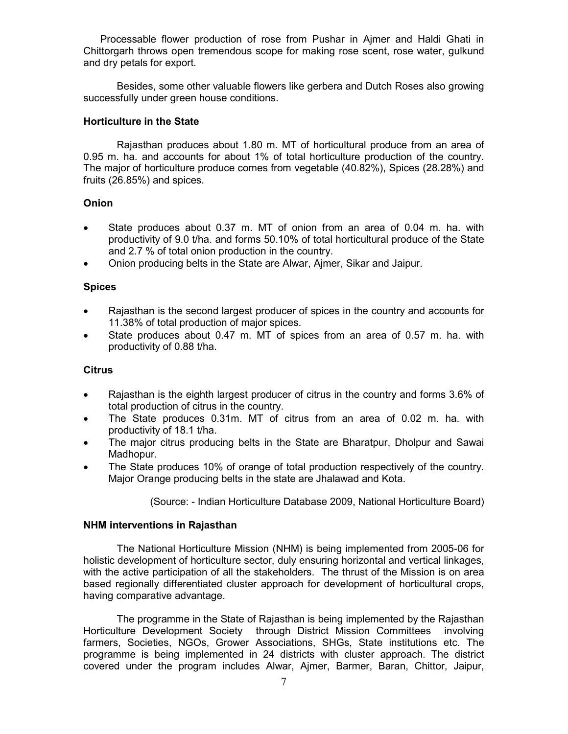Processable flower production of rose from Pushar in Ajmer and Haldi Ghati in Chittorgarh throws open tremendous scope for making rose scent, rose water, gulkund and dry petals for export.

Besides, some other valuable flowers like gerbera and Dutch Roses also growing successfully under green house conditions.

# Horticulture in the State

Rajasthan produces about 1.80 m. MT of horticultural produce from an area of 0.95 m. ha. and accounts for about 1% of total horticulture production of the country. The major of horticulture produce comes from vegetable (40.82%), Spices (28.28%) and fruits (26.85%) and spices.

## Onion

- State produces about 0.37 m. MT of onion from an area of 0.04 m. ha. with productivity of 9.0 t/ha. and forms 50.10% of total horticultural produce of the State and 2.7 % of total onion production in the country.
- Onion producing belts in the State are Alwar, Ajmer, Sikar and Jaipur.

## Spices

- Rajasthan is the second largest producer of spices in the country and accounts for 11.38% of total production of major spices.
- State produces about 0.47 m. MT of spices from an area of 0.57 m. ha. with productivity of 0.88 t/ha.

### **Citrus**

- Rajasthan is the eighth largest producer of citrus in the country and forms 3.6% of total production of citrus in the country.
- The State produces 0.31m. MT of citrus from an area of 0.02 m. ha. with productivity of 18.1 t/ha.
- The major citrus producing belts in the State are Bharatpur, Dholpur and Sawai Madhopur.
- The State produces 10% of orange of total production respectively of the country. Major Orange producing belts in the state are Jhalawad and Kota.

(Source: - Indian Horticulture Database 2009, National Horticulture Board)

#### NHM interventions in Rajasthan

The National Horticulture Mission (NHM) is being implemented from 2005-06 for holistic development of horticulture sector, duly ensuring horizontal and vertical linkages, with the active participation of all the stakeholders. The thrust of the Mission is on area based regionally differentiated cluster approach for development of horticultural crops, having comparative advantage.

The programme in the State of Rajasthan is being implemented by the Rajasthan Horticulture Development Society through District Mission Committees involving farmers, Societies, NGOs, Grower Associations, SHGs, State institutions etc. The programme is being implemented in 24 districts with cluster approach. The district covered under the program includes Alwar, Ajmer, Barmer, Baran, Chittor, Jaipur,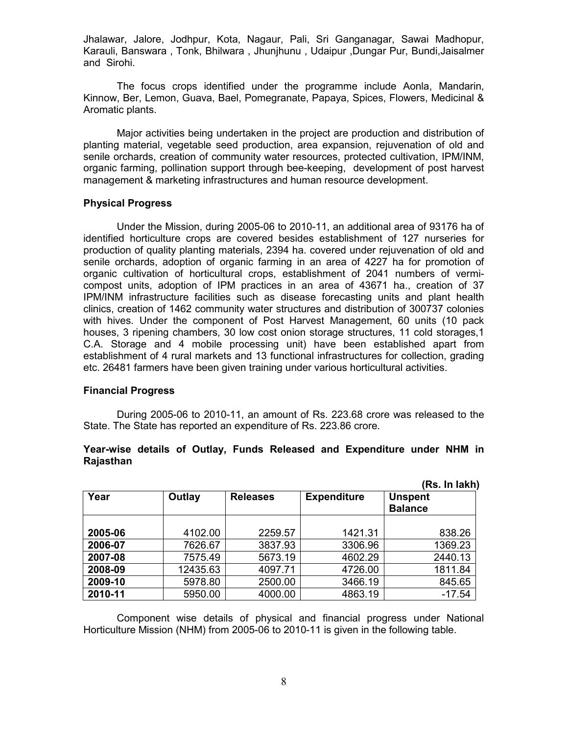Jhalawar, Jalore, Jodhpur, Kota, Nagaur, Pali, Sri Ganganagar, Sawai Madhopur, Karauli, Banswara , Tonk, Bhilwara , Jhunjhunu , Udaipur ,Dungar Pur, Bundi,Jaisalmer and Sirohi.

The focus crops identified under the programme include Aonla, Mandarin, Kinnow, Ber, Lemon, Guava, Bael, Pomegranate, Papaya, Spices, Flowers, Medicinal & Aromatic plants.

Major activities being undertaken in the project are production and distribution of planting material, vegetable seed production, area expansion, rejuvenation of old and senile orchards, creation of community water resources, protected cultivation, IPM/INM, organic farming, pollination support through bee-keeping, development of post harvest management & marketing infrastructures and human resource development.

#### Physical Progress

 Under the Mission, during 2005-06 to 2010-11, an additional area of 93176 ha of identified horticulture crops are covered besides establishment of 127 nurseries for production of quality planting materials, 2394 ha. covered under rejuvenation of old and senile orchards, adoption of organic farming in an area of 4227 ha for promotion of organic cultivation of horticultural crops, establishment of 2041 numbers of vermicompost units, adoption of IPM practices in an area of 43671 ha., creation of 37 IPM/INM infrastructure facilities such as disease forecasting units and plant health clinics, creation of 1462 community water structures and distribution of 300737 colonies with hives. Under the component of Post Harvest Management, 60 units (10 pack houses, 3 ripening chambers, 30 low cost onion storage structures, 11 cold storages,1 C.A. Storage and 4 mobile processing unit) have been established apart from establishment of 4 rural markets and 13 functional infrastructures for collection, grading etc. 26481 farmers have been given training under various horticultural activities.

#### Financial Progress

During 2005-06 to 2010-11, an amount of Rs. 223.68 crore was released to the State. The State has reported an expenditure of Rs. 223.86 crore.

#### Year-wise details of Outlay, Funds Released and Expenditure under NHM in Rajasthan

|         |          |                 |                    | (Rs. In lakh)                    |
|---------|----------|-----------------|--------------------|----------------------------------|
| Year    | Outlay   | <b>Releases</b> | <b>Expenditure</b> | <b>Unspent</b><br><b>Balance</b> |
| 2005-06 | 4102.00  | 2259.57         | 1421.31            | 838.26                           |
| 2006-07 | 7626.67  | 3837.93         | 3306.96            | 1369.23                          |
| 2007-08 | 7575.49  | 5673.19         | 4602.29            | 2440.13                          |
| 2008-09 | 12435.63 | 4097.71         | 4726.00            | 1811.84                          |
| 2009-10 | 5978.80  | 2500.00         | 3466.19            | 845.65                           |
| 2010-11 | 5950.00  | 4000.00         | 4863.19            | $-17.54$                         |

 Component wise details of physical and financial progress under National Horticulture Mission (NHM) from 2005-06 to 2010-11 is given in the following table.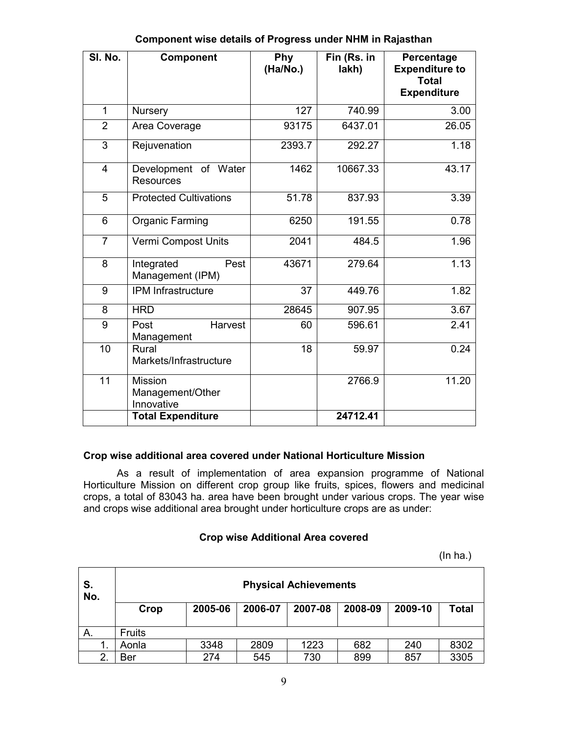| SI. No.        | <b>Component</b>                          | Phy<br>(Ha/No.) | Fin (Rs. in<br>lakh) | Percentage<br><b>Expenditure to</b><br><b>Total</b><br><b>Expenditure</b> |
|----------------|-------------------------------------------|-----------------|----------------------|---------------------------------------------------------------------------|
| 1              | Nursery                                   | 127             | 740.99               | 3.00                                                                      |
| $\overline{2}$ | Area Coverage                             | 93175           | 6437.01              | 26.05                                                                     |
| 3              | Rejuvenation                              | 2393.7          | 292.27               | 1.18                                                                      |
| $\overline{4}$ | Development of Water<br><b>Resources</b>  | 1462            | 10667.33             | 43.17                                                                     |
| 5              | <b>Protected Cultivations</b>             | 51.78           | 837.93               | 3.39                                                                      |
| 6              | <b>Organic Farming</b>                    | 6250            | 191.55               | 0.78                                                                      |
| $\overline{7}$ | Vermi Compost Units                       | 2041            | 484.5                | 1.96                                                                      |
| 8              | Integrated<br>Pest<br>Management (IPM)    | 43671           | 279.64               | 1.13                                                                      |
| 9              | <b>IPM</b> Infrastructure                 | 37              | 449.76               | 1.82                                                                      |
| 8              | <b>HRD</b>                                | 28645           | 907.95               | 3.67                                                                      |
| 9              | Harvest<br>Post<br>Management             | 60              | 596.61               | 2.41                                                                      |
| 10             | Rural<br>Markets/Infrastructure           | 18              | 59.97                | 0.24                                                                      |
| 11             | Mission<br>Management/Other<br>Innovative |                 | 2766.9               | 11.20                                                                     |
|                | <b>Total Expenditure</b>                  |                 | 24712.41             |                                                                           |

# Component wise details of Progress under NHM in Rajasthan

# Crop wise additional area covered under National Horticulture Mission

As a result of implementation of area expansion programme of National Horticulture Mission on different crop group like fruits, spices, flowers and medicinal crops, a total of 83043 ha. area have been brought under various crops. The year wise and crops wise additional area brought under horticulture crops are as under:

#### Crop wise Additional Area covered

 $(\ln \text{ha.})$ 

| S.<br>No. | <b>Physical Achievements</b> |         |         |         |         |         |              |  |
|-----------|------------------------------|---------|---------|---------|---------|---------|--------------|--|
|           | Crop                         | 2005-06 | 2006-07 | 2007-08 | 2008-09 | 2009-10 | <b>Total</b> |  |
| А.        | <b>Fruits</b>                |         |         |         |         |         |              |  |
|           | Aonla                        | 3348    | 2809    | 1223    | 682     | 240     | 8302         |  |
| 2.        | Ber                          | 274     | 545     | 730     | 899     | 857     | 3305         |  |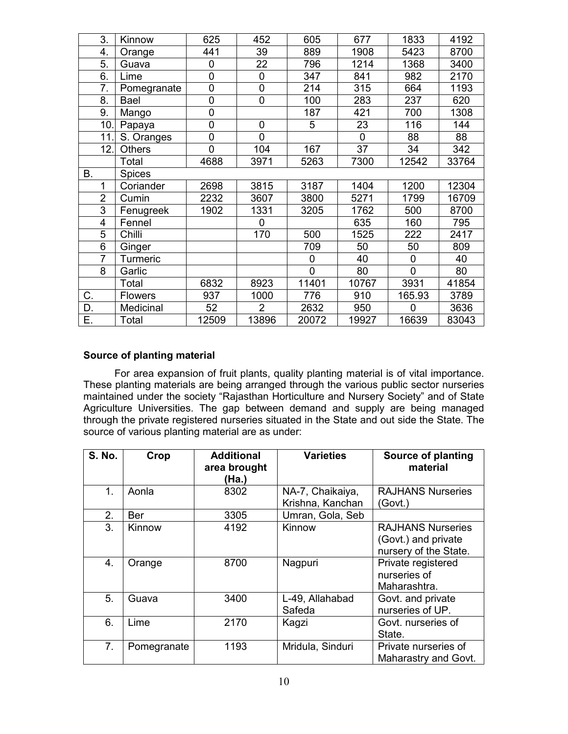|    | 3.             | Kinnow         | 625         | 452            | 605   | 677         | 1833           | 4192  |
|----|----------------|----------------|-------------|----------------|-------|-------------|----------------|-------|
|    | 4.             | Orange         | 441         | 39             | 889   | 1908        | 5423           | 8700  |
|    | 5.             | Guava          | 0           | 22             | 796   | 1214        | 1368           | 3400  |
|    | 6.             | Lime           | $\mathbf 0$ | $\mathbf 0$    | 347   | 841         | 982            | 2170  |
|    | 7.             | Pomegranate    | $\mathbf 0$ | $\mathbf 0$    | 214   | 315         | 664            | 1193  |
|    | 8.             | Bael           | 0           | 0              | 100   | 283         | 237            | 620   |
|    | 9.             | Mango          | $\mathbf 0$ |                | 187   | 421         | 700            | 1308  |
|    | 10.            | Papaya         | $\mathbf 0$ | $\mathbf 0$    | 5     | 23          | 116            | 144   |
|    | 11.            | S. Oranges     | 0           | $\overline{0}$ |       | $\mathbf 0$ | 88             | 88    |
|    | 12.            | <b>Others</b>  | $\mathbf 0$ | 104            | 167   | 37          | 34             | 342   |
|    |                | Total          | 4688        | 3971           | 5263  | 7300        | 12542          | 33764 |
| Β. |                | <b>Spices</b>  |             |                |       |             |                |       |
|    | 1              | Coriander      | 2698        | 3815           | 3187  | 1404        | 1200           | 12304 |
|    | $\overline{2}$ | Cumin          | 2232        | 3607           | 3800  | 5271        | 1799           | 16709 |
|    | 3              | Fenugreek      | 1902        | 1331           | 3205  | 1762        | 500            | 8700  |
|    | 4              | Fennel         |             | 0              |       | 635         | 160            | 795   |
|    | 5              | Chilli         |             | 170            | 500   | 1525        | 222            | 2417  |
|    | 6              | Ginger         |             |                | 709   | 50          | 50             | 809   |
|    | $\overline{7}$ | Turmeric       |             |                | 0     | 40          | 0              | 40    |
|    | 8              | Garlic         |             |                | 0     | 80          | $\overline{0}$ | 80    |
|    |                | Total          | 6832        | 8923           | 11401 | 10767       | 3931           | 41854 |
| С. |                | <b>Flowers</b> | 937         | 1000           | 776   | 910         | 165.93         | 3789  |
| D. |                | Medicinal      | 52          | $\overline{2}$ | 2632  | 950         | $\Omega$       | 3636  |
| Е. |                | Total          | 12509       | 13896          | 20072 | 19927       | 16639          | 83043 |
|    |                |                |             |                |       |             |                |       |

## Source of planting material

 For area expansion of fruit plants, quality planting material is of vital importance. These planting materials are being arranged through the various public sector nurseries maintained under the society "Rajasthan Horticulture and Nursery Society" and of State Agriculture Universities. The gap between demand and supply are being managed through the private registered nurseries situated in the State and out side the State. The source of various planting material are as under:

| <b>S. No.</b>  | Crop        | <b>Additional</b><br>area brought<br>(Ha.) | <b>Varieties</b><br><b>Source of planting</b><br>material |                                                                          |
|----------------|-------------|--------------------------------------------|-----------------------------------------------------------|--------------------------------------------------------------------------|
| 1.             | Aonla       | 8302                                       | NA-7, Chaikaiya,<br>Krishna, Kanchan                      | <b>RAJHANS Nurseries</b><br>(Govt.)                                      |
| 2.             | Ber         | 3305                                       | Umran, Gola, Seb                                          |                                                                          |
| 3.             | Kinnow      | 4192                                       | Kinnow                                                    | <b>RAJHANS Nurseries</b><br>(Govt.) and private<br>nursery of the State. |
| 4.             | Orange      | 8700                                       | Nagpuri                                                   | Private registered<br>nurseries of<br>Maharashtra.                       |
| 5.             | Guava       | 3400                                       | L-49, Allahabad<br>Safeda                                 | Govt. and private<br>nurseries of UP.                                    |
| 6.             | Lime        | 2170                                       | Kagzi                                                     | Govt. nurseries of<br>State.                                             |
| 7 <sub>1</sub> | Pomegranate | 1193                                       | Mridula, Sinduri                                          | Private nurseries of<br>Maharastry and Govt.                             |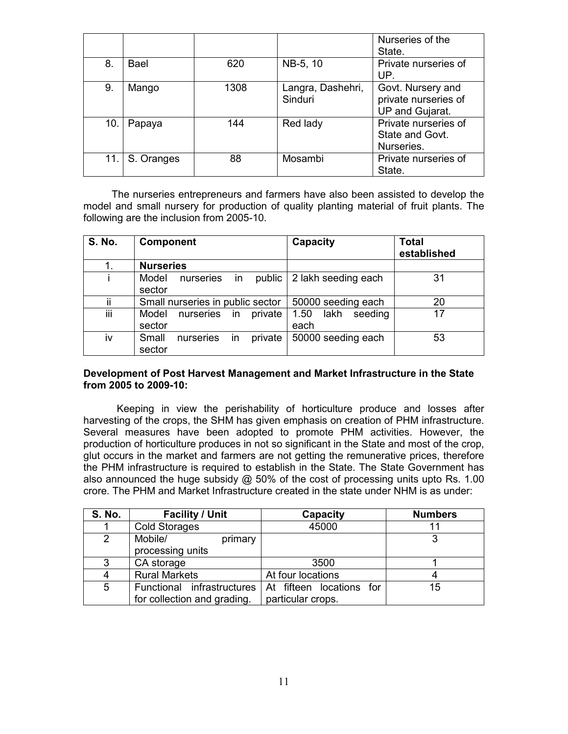|     |            |      |                              | Nurseries of the<br>State.                                   |
|-----|------------|------|------------------------------|--------------------------------------------------------------|
| 8.  | Bael       | 620  | NB-5, 10                     | Private nurseries of<br>UP.                                  |
| 9.  | Mango      | 1308 | Langra, Dashehri,<br>Sinduri | Govt. Nursery and<br>private nurseries of<br>UP and Gujarat. |
| 10. | Papaya     | 144  | Red lady                     | Private nurseries of<br>State and Govt.<br>Nurseries.        |
| 11. | S. Oranges | 88   | Mosambi                      | Private nurseries of<br>State.                               |

 The nurseries entrepreneurs and farmers have also been assisted to develop the model and small nursery for production of quality planting material of fruit plants. The following are the inclusion from 2005-10.

| <b>S. No.</b> | <b>Component</b>                              | Capacity                        | <b>Total</b><br>established |
|---------------|-----------------------------------------------|---------------------------------|-----------------------------|
| 1.            | <b>Nurseries</b>                              |                                 |                             |
| i.            | in<br>Model<br>public<br>nurseries<br>sector  | 2 lakh seeding each             | 31                          |
| ii            | Small nurseries in public sector              | 50000 seeding each              | 20                          |
| iii           | nurseries<br>Model<br>private<br>in<br>sector | 1.50<br>lakh<br>seeding<br>each | 17                          |
| iv            | Small<br>private<br>nurseries<br>in<br>sector | 50000 seeding each              | 53                          |

## Development of Post Harvest Management and Market Infrastructure in the State from 2005 to 2009-10:

Keeping in view the perishability of horticulture produce and losses after harvesting of the crops, the SHM has given emphasis on creation of PHM infrastructure. Several measures have been adopted to promote PHM activities. However, the production of horticulture produces in not so significant in the State and most of the crop, glut occurs in the market and farmers are not getting the remunerative prices, therefore the PHM infrastructure is required to establish in the State. The State Government has also announced the huge subsidy @ 50% of the cost of processing units upto Rs. 1.00 crore. The PHM and Market Infrastructure created in the state under NHM is as under:

| <b>S. No.</b> | <b>Facility / Unit</b>      | Capacity                 | <b>Numbers</b> |
|---------------|-----------------------------|--------------------------|----------------|
|               | <b>Cold Storages</b>        | 45000                    |                |
| 2             | Mobile/<br>primary          |                          |                |
|               | processing units            |                          |                |
| 3             | CA storage                  | 3500                     |                |
|               | <b>Rural Markets</b>        | At four locations        |                |
| 5             | Functional infrastructures  | At fifteen locations for | 15             |
|               | for collection and grading. | particular crops.        |                |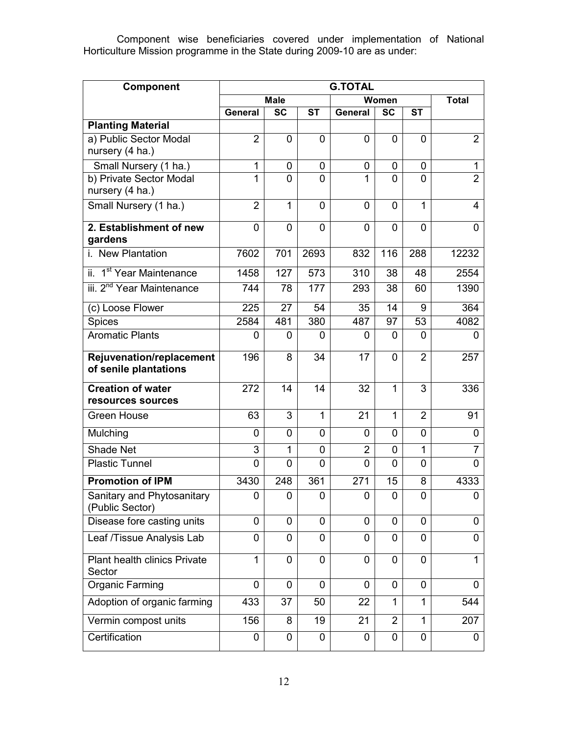Component wise beneficiaries covered under implementation of National Horticulture Mission programme in the State during 2009-10 are as under:

| Component                                         | <b>G.TOTAL</b> |                        |                |                |                |                |                |
|---------------------------------------------------|----------------|------------------------|----------------|----------------|----------------|----------------|----------------|
|                                                   |                | <b>Male</b>            |                |                | Women          |                | <b>Total</b>   |
|                                                   | <b>General</b> | $\overline{\text{sc}}$ | <b>ST</b>      | General        | <b>SC</b>      | <b>ST</b>      |                |
| <b>Planting Material</b>                          |                |                        |                |                |                |                |                |
| a) Public Sector Modal<br>nursery (4 ha.)         | $\overline{2}$ | 0                      | 0              | 0              | 0              | $\Omega$       | $\overline{2}$ |
| Small Nursery (1 ha.)                             | $\mathbf{1}$   | 0                      | 0              | 0              | 0              | 0              | $\mathbf{1}$   |
| b) Private Sector Modal<br>nursery (4 ha.)        | 1              | $\overline{0}$         | 0              | 1              | 0              | $\overline{0}$ | $\overline{2}$ |
| Small Nursery (1 ha.)                             | $\overline{2}$ | 1                      | 0              | 0              | 0              | 1              | 4              |
| 2. Establishment of new<br>gardens                | 0              | $\overline{0}$         | $\overline{0}$ | $\overline{0}$ | 0              | $\overline{0}$ | 0              |
| i. New Plantation                                 | 7602           | 701                    | 2693           | 832            | 116            | 288            | 12232          |
| ii. 1 <sup>st</sup> Year Maintenance              | 1458           | 127                    | 573            | 310            | 38             | 48             | 2554           |
| iii. 2 <sup>nd</sup> Year Maintenance             | 744            | 78                     | 177            | 293            | 38             | 60             | 1390           |
| (c) Loose Flower                                  | 225            | 27                     | 54             | 35             | 14             | 9              | 364            |
| <b>Spices</b>                                     | 2584           | 481                    | 380            | 487            | 97             | 53             | 4082           |
| <b>Aromatic Plants</b>                            | 0              | 0                      | 0              | 0              | 0              | 0              | 0              |
| Rejuvenation/replacement<br>of senile plantations | 196            | 8                      | 34             | 17             | 0              | $\overline{2}$ | 257            |
| <b>Creation of water</b><br>resources sources     | 272            | 14                     | 14             | 32             | 1              | 3              | 336            |
| <b>Green House</b>                                | 63             | 3                      | $\mathbf{1}$   | 21             | $\mathbf{1}$   | $\overline{2}$ | 91             |
| Mulching                                          | 0              | $\mathbf 0$            | 0              | 0              | 0              | $\overline{0}$ | 0              |
| Shade Net                                         | 3              | 1                      | 0              | $\overline{2}$ | 0              | 1              | $\overline{7}$ |
| <b>Plastic Tunnel</b>                             | 0              | $\overline{0}$         | 0              | $\overline{0}$ | 0              | 0              | 0              |
| <b>Promotion of IPM</b>                           | 3430           | 248                    | 361            | 271            | 15             | 8              | 4333           |
| Sanitary and Phytosanitary<br>(Public Sector)     | 0              | 0                      | 0              | 0              | 0              | 0              | 0              |
| Disease fore casting units                        | 0              | 0                      | 0              | 0              | 0              | 0              | 0              |
| Leaf /Tissue Analysis Lab                         | 0              | 0                      | 0              | 0              | 0              | $\Omega$       | 0              |
| Plant health clinics Private<br>Sector            | 1              | 0                      | 0              | 0              | 0              | $\Omega$       | $\mathbf{1}$   |
| <b>Organic Farming</b>                            | 0              | 0                      | 0              | 0              | 0              | 0              | 0              |
| Adoption of organic farming                       | 433            | 37                     | 50             | 22             | 1              | 1              | 544            |
| Vermin compost units                              | 156            | 8                      | 19             | 21             | $\overline{2}$ | $\mathbf{1}$   | 207            |
| Certification                                     | 0              | $\mathbf 0$            | $\mathbf 0$    | 0              | 0              | 0              | 0              |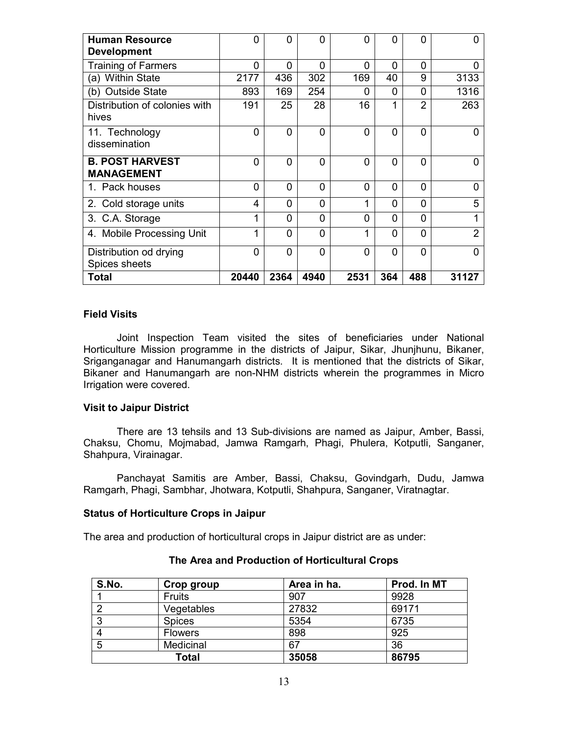| <b>Human Resource</b><br><b>Development</b> | 0     | $\Omega$    | $\Omega$    | $\Omega$    | 0        | 0              | O              |
|---------------------------------------------|-------|-------------|-------------|-------------|----------|----------------|----------------|
| <b>Training of Farmers</b>                  | 0     | 0           | 0           | $\Omega$    | 0        | $\Omega$       | 0              |
| (a) Within State                            | 2177  | 436         | 302         | 169         | 40       | 9              | 3133           |
| (b) Outside State                           | 893   | 169         | 254         | 0           | $\Omega$ | 0              | 1316           |
| Distribution of colonies with<br>hives      | 191   | 25          | 28          | 16          | 1        | $\overline{2}$ | 263            |
| 11. Technology<br>dissemination             | 0     | $\mathbf 0$ | $\mathbf 0$ | $\Omega$    | 0        | 0              | 0              |
| <b>B. POST HARVEST</b><br><b>MANAGEMENT</b> | 0     | $\mathbf 0$ | $\Omega$    | $\Omega$    | 0        | $\Omega$       | $\Omega$       |
| 1. Pack houses                              | 0     | $\mathbf 0$ | $\mathbf 0$ | $\mathbf 0$ | 0        | $\Omega$       | 0              |
| 2. Cold storage units                       | 4     | $\mathbf 0$ | 0           | 1           | 0        | 0              | 5              |
| 3. C.A. Storage                             | 1     | 0           | 0           | $\Omega$    | 0        | 0              | 1              |
| 4. Mobile Processing Unit                   | 1     | $\Omega$    | $\Omega$    | 1           | 0        | 0              | $\overline{2}$ |
| Distribution od drying<br>Spices sheets     | 0     | $\Omega$    | $\mathbf 0$ | $\Omega$    | 0        | 0              | $\Omega$       |
| Total                                       | 20440 | 2364        | 4940        | 2531        | 364      | 488            | 31127          |

#### Field Visits

 Joint Inspection Team visited the sites of beneficiaries under National Horticulture Mission programme in the districts of Jaipur, Sikar, Jhunjhunu, Bikaner, Sriganganagar and Hanumangarh districts. It is mentioned that the districts of Sikar, Bikaner and Hanumangarh are non-NHM districts wherein the programmes in Micro Irrigation were covered.

#### Visit to Jaipur District

 There are 13 tehsils and 13 Sub-divisions are named as Jaipur, Amber, Bassi, Chaksu, Chomu, Mojmabad, Jamwa Ramgarh, Phagi, Phulera, Kotputli, Sanganer, Shahpura, Virainagar.

 Panchayat Samitis are Amber, Bassi, Chaksu, Govindgarh, Dudu, Jamwa Ramgarh, Phagi, Sambhar, Jhotwara, Kotputli, Shahpura, Sanganer, Viratnagtar.

#### Status of Horticulture Crops in Jaipur

The area and production of horticultural crops in Jaipur district are as under:

| S.No. | Crop group     | Area in ha. | Prod. In MT |
|-------|----------------|-------------|-------------|
|       | <b>Fruits</b>  | 907         | 9928        |
|       | Vegetables     | 27832       | 69171       |
| 3     | <b>Spices</b>  | 5354        | 6735        |
|       | <b>Flowers</b> | 898         | 925         |
| 5     | Medicinal      | 67          | 36          |
|       | Total          | 35058       | 86795       |

# The Area and Production of Horticultural Crops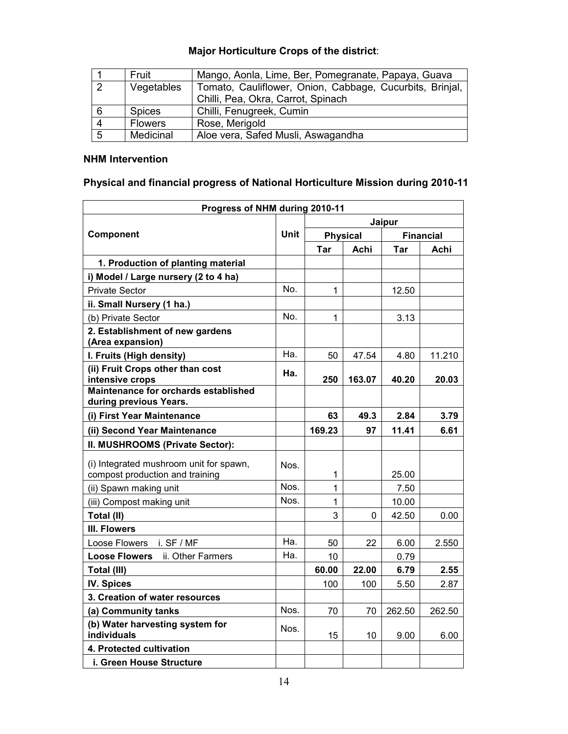|                | Fruit          | Mango, Aonla, Lime, Ber, Pomegranate, Papaya, Guava      |
|----------------|----------------|----------------------------------------------------------|
| $\overline{2}$ | Vegetables     | Tomato, Cauliflower, Onion, Cabbage, Cucurbits, Brinjal, |
|                |                | Chilli, Pea, Okra, Carrot, Spinach                       |
| 6              | <b>Spices</b>  | Chilli, Fenugreek, Cumin                                 |
| $\overline{4}$ | <b>Flowers</b> | Rose, Merigold                                           |
| 5              | Medicinal      | Aloe vera, Safed Musli, Aswagandha                       |

# Major Horticulture Crops of the district:

## NHM Intervention

# Physical and financial progress of National Horticulture Mission during 2010-11

| Progress of NHM during 2010-11                                             |      |              |                 |                  |        |  |
|----------------------------------------------------------------------------|------|--------------|-----------------|------------------|--------|--|
|                                                                            |      | Jaipur       |                 |                  |        |  |
| Component                                                                  |      |              | <b>Physical</b> | <b>Financial</b> |        |  |
|                                                                            |      | Tar          | Achi            | Tar              | Achi   |  |
| 1. Production of planting material                                         |      |              |                 |                  |        |  |
| i) Model / Large nursery (2 to 4 ha)                                       |      |              |                 |                  |        |  |
| <b>Private Sector</b>                                                      | No.  | 1            |                 | 12.50            |        |  |
| ii. Small Nursery (1 ha.)                                                  |      |              |                 |                  |        |  |
| (b) Private Sector                                                         | No.  | 1            |                 | 3.13             |        |  |
| 2. Establishment of new gardens<br>(Area expansion)                        |      |              |                 |                  |        |  |
| I. Fruits (High density)                                                   | Ha.  | 50           | 47.54           | 4.80             | 11.210 |  |
| (ii) Fruit Crops other than cost<br>intensive crops                        | Ha.  | 250          | 163.07          | 40.20            | 20.03  |  |
| Maintenance for orchards established<br>during previous Years.             |      |              |                 |                  |        |  |
| (i) First Year Maintenance                                                 |      | 63           | 49.3            | 2.84             | 3.79   |  |
| (ii) Second Year Maintenance                                               |      | 169.23       | 97              | 11.41            | 6.61   |  |
| II. MUSHROOMS (Private Sector):                                            |      |              |                 |                  |        |  |
| (i) Integrated mushroom unit for spawn,<br>compost production and training | Nos. | 1            |                 | 25.00            |        |  |
| (ii) Spawn making unit                                                     | Nos. | $\mathbf{1}$ |                 | 7.50             |        |  |
| (iii) Compost making unit                                                  | Nos. | 1            |                 | 10.00            |        |  |
| Total (II)                                                                 |      | 3            | $\Omega$        | 42.50            | 0.00   |  |
| III. Flowers                                                               |      |              |                 |                  |        |  |
| Loose Flowers<br>i. SF / MF                                                | Ha.  | 50           | 22              | 6.00             | 2.550  |  |
| <b>Loose Flowers</b><br>ii. Other Farmers                                  | Ha.  | 10           |                 | 0.79             |        |  |
| Total (III)                                                                |      | 60.00        | 22.00           | 6.79             | 2.55   |  |
| <b>IV. Spices</b>                                                          |      | 100          | 100             | 5.50             | 2.87   |  |
| 3. Creation of water resources                                             |      |              |                 |                  |        |  |
| (a) Community tanks                                                        | Nos. | 70           | 70              | 262.50           | 262.50 |  |
| (b) Water harvesting system for<br><b>individuals</b>                      | Nos. | 15           | 10              | 9.00             | 6.00   |  |
| 4. Protected cultivation                                                   |      |              |                 |                  |        |  |
| i. Green House Structure                                                   |      |              |                 |                  |        |  |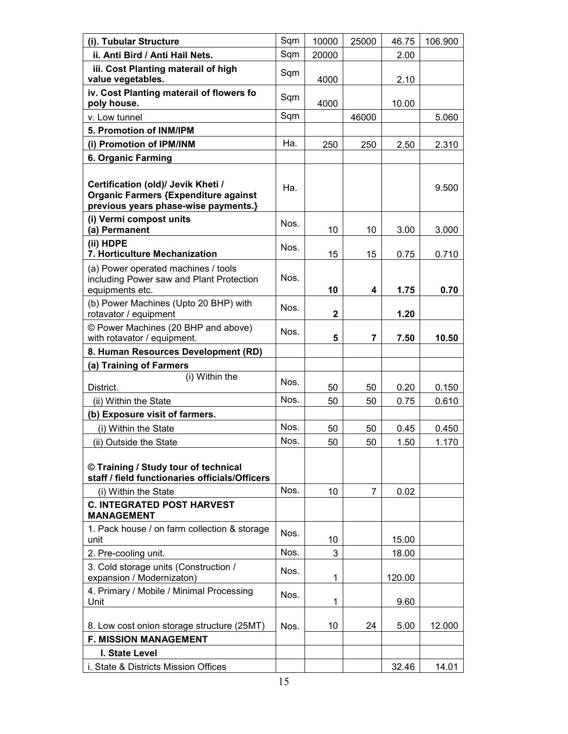| (i). Tubular Structure                                                                                                    | Sqm  | 10000        | 25000 | 46.75  | 106.900 |
|---------------------------------------------------------------------------------------------------------------------------|------|--------------|-------|--------|---------|
| ii. Anti Bird / Anti Hail Nets.                                                                                           | Sqm  | 20000        |       | 2.00   |         |
| iii. Cost Planting materail of high<br>value vegetables.                                                                  | Sqm  | 4000         |       | 2.10   |         |
| iv. Cost Planting materail of flowers fo<br>poly house.                                                                   | Sqm  | 4000         |       | 10.00  |         |
| v. Low tunnel                                                                                                             | Sqm  |              | 46000 |        | 5.060   |
| 5. Promotion of INM/IPM                                                                                                   |      |              |       |        |         |
| (i) Promotion of IPM/INM                                                                                                  | Ha.  | 250          | 250   | 2.50   | 2.310   |
| 6. Organic Farming                                                                                                        |      |              |       |        |         |
| Certification (old)/ Jevik Kheti /<br><b>Organic Farmers {Expenditure against</b><br>previous years phase-wise payments.} | Ha.  |              |       |        | 9.500   |
| (i) Vermi compost units<br>(a) Permanent                                                                                  | Nos. | 10           | 10    | 3.00   | 3.000   |
| (ii) HDPE<br>7. Horticulture Mechanization                                                                                | Nos. | 15           | 15    | 0.75   | 0.710   |
| (a) Power operated machines / tools<br>including Power saw and Plant Protection<br>equipments etc.                        | Nos. | 10           | 4     | 1.75   | 0.70    |
| (b) Power Machines (Upto 20 BHP) with<br>rotavator / equipment                                                            | Nos. | $\mathbf{2}$ |       | 1.20   |         |
| © Power Machines (20 BHP and above)<br>with rotavator / equipment.                                                        | Nos. | 5            | 7     | 7.50   | 10.50   |
| 8. Human Resources Development (RD)                                                                                       |      |              |       |        |         |
| (a) Training of Farmers                                                                                                   |      |              |       |        |         |
| (i) Within the<br>District.                                                                                               | Nos. | 50           | 50    | 0.20   | 0.150   |
| (ii) Within the State                                                                                                     | Nos. | 50           | 50    | 0.75   | 0.610   |
| (b) Exposure visit of farmers.                                                                                            |      |              |       |        |         |
| (i) Within the State                                                                                                      | Nos. | 50           | 50    | 0.45   | 0.450   |
| (ii) Outside the State                                                                                                    | Nos. | 50           | 50    | 1.50   | 1.170   |
| © Training / Study tour of technical<br>staff / field functionaries officials/Officers                                    |      |              |       |        |         |
| (i) Within the State                                                                                                      | Nos. | 10           | 7     | 0.02   |         |
| <b>C. INTEGRATED POST HARVEST</b><br><b>MANAGEMENT</b>                                                                    |      |              |       |        |         |
| 1. Pack house / on farm collection & storage<br>unit                                                                      | Nos. | 10           |       | 15.00  |         |
| 2. Pre-cooling unit.                                                                                                      | Nos. | 3            |       | 18.00  |         |
| 3. Cold storage units (Construction /<br>expansion / Modernizaton)                                                        | Nos. | 1            |       | 120.00 |         |
| 4. Primary / Mobile / Minimal Processing<br>Unit                                                                          | Nos. | 1            |       | 9.60   |         |
| 8. Low cost onion storage structure (25MT)                                                                                | Nos. | 10           | 24    | 5.00   | 12.000  |
| <b>F. MISSION MANAGEMENT</b>                                                                                              |      |              |       |        |         |
| I. State Level                                                                                                            |      |              |       |        |         |
| i. State & Districts Mission Offices                                                                                      |      |              |       | 32.46  | 14.01   |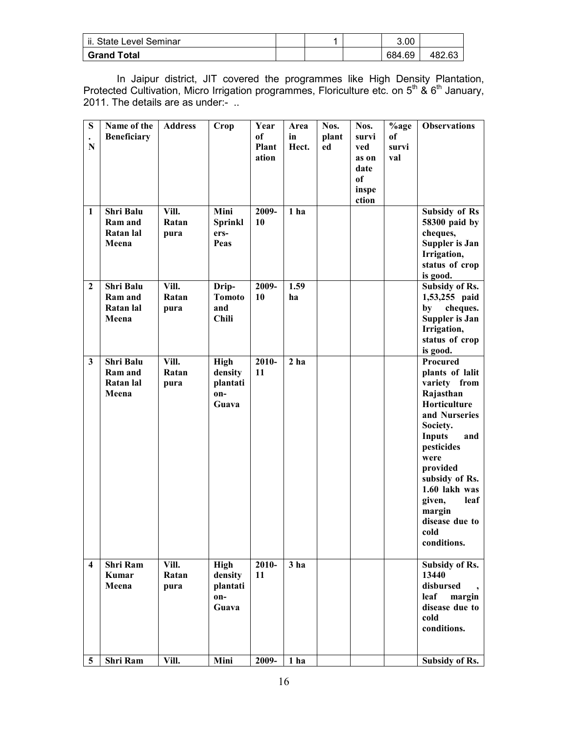| ii. State Level Seminar |  | 3.00   |        |
|-------------------------|--|--------|--------|
| <b>Grand Total</b>      |  | 684.69 | 482.63 |

In Jaipur district, JIT covered the programmes like High Density Plantation, Protected Cultivation, Micro Irrigation programmes, Floriculture etc. on  $5<sup>th</sup>$  &  $6<sup>th</sup>$  January, 2011. The details are as under:- ..

| ${\bf S}$<br>$\mathbf N$ | Name of the<br><b>Beneficiary</b>                 | <b>Address</b>         | Crop                                               | Year<br>of<br><b>Plant</b><br>ation | Area<br>in<br>Hect. | Nos.<br>plant<br>ed | Nos.<br>survi<br>ved<br>as on<br>date<br>of<br>inspe<br>ction | %age<br>of<br>survi<br>val | <b>Observations</b>                                                                                                                                                                                                                                                     |
|--------------------------|---------------------------------------------------|------------------------|----------------------------------------------------|-------------------------------------|---------------------|---------------------|---------------------------------------------------------------|----------------------------|-------------------------------------------------------------------------------------------------------------------------------------------------------------------------------------------------------------------------------------------------------------------------|
| $\mathbf{1}$             | <b>Shri Balu</b><br>Ram and<br>Ratan lal<br>Meena | Vill.<br>Ratan<br>pura | Mini<br><b>Sprinkl</b><br>ers-<br>Peas             | 2009-<br>10                         | 1 <sub>ha</sub>     |                     |                                                               |                            | <b>Subsidy of Rs</b><br>58300 paid by<br>cheques,<br><b>Suppler is Jan</b><br>Irrigation,<br>status of crop<br>is good.                                                                                                                                                 |
| $\mathbf{2}$             | <b>Shri Balu</b><br>Ram and<br>Ratan lal<br>Meena | Vill.<br>Ratan<br>pura | Drip-<br><b>Tomoto</b><br>and<br><b>Chili</b>      | 2009-<br>10                         | 1.59<br>ha          |                     |                                                               |                            | Subsidy of Rs.<br>1,53,255 paid<br>cheques.<br>by<br><b>Suppler is Jan</b><br>Irrigation,<br>status of crop<br>is good.                                                                                                                                                 |
| $\overline{\mathbf{3}}$  | <b>Shri Balu</b><br>Ram and<br>Ratan lal<br>Meena | Vill.<br>Ratan<br>pura | <b>High</b><br>density<br>plantati<br>on-<br>Guava | 2010-<br>11                         | 2 <sub>ha</sub>     |                     |                                                               |                            | Procured<br>plants of lalit<br>variety from<br>Rajasthan<br>Horticulture<br>and Nurseries<br>Society.<br><b>Inputs</b><br>and<br>pesticides<br>were<br>provided<br>subsidy of Rs.<br>1.60 lakh was<br>given,<br>leaf<br>margin<br>disease due to<br>cold<br>conditions. |
| $\overline{\mathbf{4}}$  | Shri Ram<br>Kumar<br>Meena                        | Vill.<br>Ratan<br>pura | <b>High</b><br>density<br>plantati<br>on-<br>Guava | 2010-<br>11                         | 3 <sub>ha</sub>     |                     |                                                               |                            | Subsidy of Rs.<br>13440<br>disbursed<br>leaf<br>margin<br>disease due to<br>cold<br>conditions.                                                                                                                                                                         |
| 5                        | <b>Shri Ram</b>                                   | Vill.                  | Mini                                               | 2009-                               | 1 ha                |                     |                                                               |                            | Subsidy of Rs.                                                                                                                                                                                                                                                          |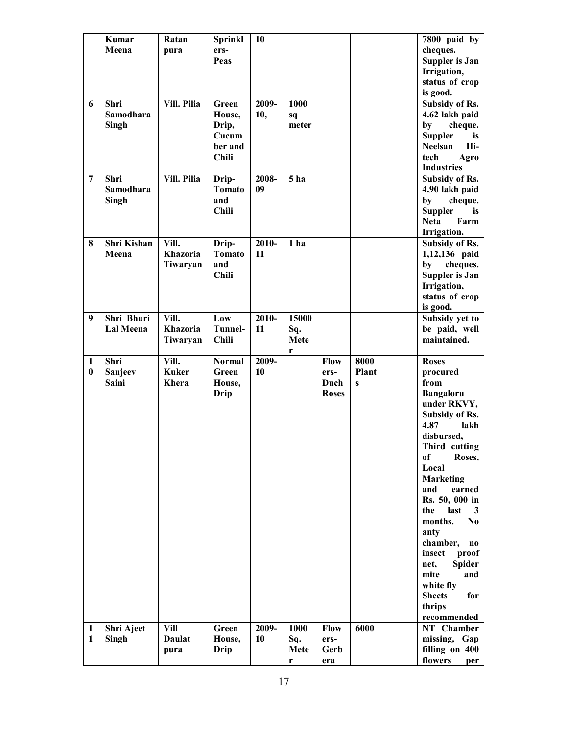|              | Kumar<br>Meena      | Ratan<br>pura                | <b>Sprinkl</b><br>ers- | 10    |                 |              |              | 7800 paid by<br>cheques.                     |
|--------------|---------------------|------------------------------|------------------------|-------|-----------------|--------------|--------------|----------------------------------------------|
|              |                     |                              | Peas                   |       |                 |              |              | <b>Suppler is Jan</b><br>Irrigation,         |
|              |                     |                              |                        |       |                 |              |              | status of crop                               |
|              |                     |                              |                        |       |                 |              |              | is good.                                     |
| 6            | Shri                | Vill. Pilia                  | Green                  | 2009- | 1000            |              |              | Subsidy of Rs.                               |
|              | Samodhara           |                              | House,                 | 10,   | sq              |              |              | 4.62 lakh paid                               |
|              | Singh               |                              | Drip,<br>Cucum         |       | meter           |              |              | by<br>cheque.<br><b>Suppler</b><br>is        |
|              |                     |                              | ber and                |       |                 |              |              | <b>Neelsan</b><br>Hi-                        |
|              |                     |                              | <b>Chili</b>           |       |                 |              |              | tech<br>Agro                                 |
|              |                     |                              |                        |       |                 |              |              | <b>Industries</b>                            |
| 7            | Shri                | Vill. Pilia                  | Drip-                  | 2008- | 5 <sub>ha</sub> |              |              | Subsidy of Rs.                               |
|              | Samodhara           |                              | <b>Tomato</b><br>and   | 09    |                 |              |              | 4.90 lakh paid                               |
|              | Singh               |                              | <b>Chili</b>           |       |                 |              |              | by<br>cheque.<br><b>Suppler</b><br><i>is</i> |
|              |                     |                              |                        |       |                 |              |              | <b>Neta</b><br>Farm                          |
|              |                     |                              |                        |       |                 |              |              | Irrigation.                                  |
| 8            | Shri Kishan         | Vill.                        | Drip-                  | 2010- | 1 <sub>ha</sub> |              |              | Subsidy of Rs.                               |
|              | Meena               | Khazoria                     | <b>Tomato</b>          | 11    |                 |              |              | 1,12,136 paid                                |
|              |                     | Tiwaryan                     | and<br><b>Chili</b>    |       |                 |              |              | by<br>cheques.<br><b>Suppler is Jan</b>      |
|              |                     |                              |                        |       |                 |              |              | Irrigation,                                  |
|              |                     |                              |                        |       |                 |              |              | status of crop                               |
|              |                     |                              |                        |       |                 |              |              | is good.                                     |
| 9            | Shri Bhuri          | Vill.                        | Low                    | 2010- | 15000           |              |              | Subsidy yet to                               |
|              | <b>Lal Meena</b>    | <b>Khazoria</b>              | Tunnel-                | 11    | Sq.             |              |              | be paid, well                                |
|              |                     | Tiwaryan                     | <b>Chili</b>           |       | Mete<br>r       |              |              | maintained.                                  |
|              |                     |                              |                        |       |                 |              |              |                                              |
| 1            | Shri                | Vill.                        | <b>Normal</b>          | 2009- |                 | <b>Flow</b>  | 8000         | <b>Roses</b>                                 |
| $\mathbf{0}$ | Sanjeev             | <b>Kuker</b>                 | Green                  | 10    |                 | ers-         | Plant        | procured                                     |
|              | Saini               | Khera                        | House,                 |       |                 | Duch         | $\mathbf{s}$ | from                                         |
|              |                     |                              | <b>Drip</b>            |       |                 | <b>Roses</b> |              | <b>Bangaloru</b>                             |
|              |                     |                              |                        |       |                 |              |              | under RKVY,                                  |
|              |                     |                              |                        |       |                 |              |              | Subsidy of Rs.                               |
|              |                     |                              |                        |       |                 |              |              | 4.87<br>lakh<br>disbursed,                   |
|              |                     |                              |                        |       |                 |              |              | Third cutting                                |
|              |                     |                              |                        |       |                 |              |              | of<br>Roses,                                 |
|              |                     |                              |                        |       |                 |              |              | Local                                        |
|              |                     |                              |                        |       |                 |              |              | <b>Marketing</b>                             |
|              |                     |                              |                        |       |                 |              |              | earned<br>and<br>Rs. 50, 000 in              |
|              |                     |                              |                        |       |                 |              |              | the<br>last<br>3                             |
|              |                     |                              |                        |       |                 |              |              | N <sub>0</sub><br>months.                    |
|              |                     |                              |                        |       |                 |              |              | anty                                         |
|              |                     |                              |                        |       |                 |              |              | chamber,<br>$\bf{no}$                        |
|              |                     |                              |                        |       |                 |              |              | insect<br>proof<br><b>Spider</b><br>net,     |
|              |                     |                              |                        |       |                 |              |              | mite<br>and                                  |
|              |                     |                              |                        |       |                 |              |              | white fly                                    |
|              |                     |                              |                        |       |                 |              |              | <b>Sheets</b><br>for                         |
|              |                     |                              |                        |       |                 |              |              | thrips                                       |
| 1            |                     |                              |                        | 2009- |                 |              | 6000         | recommended                                  |
| 1            | Shri Ajeet<br>Singh | <b>Vill</b><br><b>Daulat</b> | Green<br>House,        | 10    | 1000<br>Sq.     | Flow<br>ers- |              | NT Chamber<br>missing, Gap                   |
|              |                     | pura                         | Drip                   |       | Mete            | Gerb         |              | filling on 400<br>flowers                    |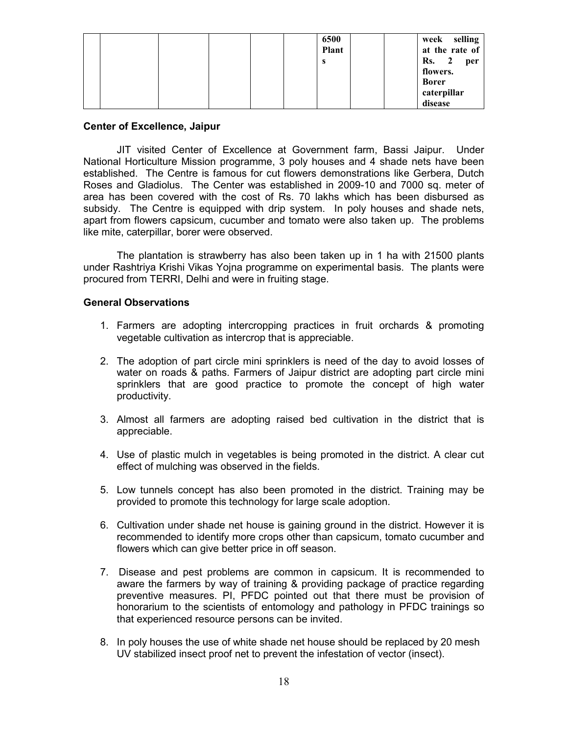| 6500<br><b>Plant</b><br>s |                              |
|---------------------------|------------------------------|
|                           | selling<br>week              |
|                           | at the rate of               |
|                           | Rs.<br>$\overline{2}$<br>per |
|                           | flowers.                     |
|                           | <b>Borer</b>                 |
|                           | caterpillar                  |
|                           | disease                      |

#### Center of Excellence, Jaipur

JIT visited Center of Excellence at Government farm, Bassi Jaipur. Under National Horticulture Mission programme, 3 poly houses and 4 shade nets have been established. The Centre is famous for cut flowers demonstrations like Gerbera, Dutch Roses and Gladiolus. The Center was established in 2009-10 and 7000 sq. meter of area has been covered with the cost of Rs. 70 lakhs which has been disbursed as subsidy. The Centre is equipped with drip system. In poly houses and shade nets, apart from flowers capsicum, cucumber and tomato were also taken up. The problems like mite, caterpillar, borer were observed.

 The plantation is strawberry has also been taken up in 1 ha with 21500 plants under Rashtriya Krishi Vikas Yojna programme on experimental basis. The plants were procured from TERRI, Delhi and were in fruiting stage.

#### General Observations

- 1. Farmers are adopting intercropping practices in fruit orchards & promoting vegetable cultivation as intercrop that is appreciable.
- 2. The adoption of part circle mini sprinklers is need of the day to avoid losses of water on roads & paths. Farmers of Jaipur district are adopting part circle mini sprinklers that are good practice to promote the concept of high water productivity.
- 3. Almost all farmers are adopting raised bed cultivation in the district that is appreciable.
- 4. Use of plastic mulch in vegetables is being promoted in the district. A clear cut effect of mulching was observed in the fields.
- 5. Low tunnels concept has also been promoted in the district. Training may be provided to promote this technology for large scale adoption.
- 6. Cultivation under shade net house is gaining ground in the district. However it is recommended to identify more crops other than capsicum, tomato cucumber and flowers which can give better price in off season.
- 7. Disease and pest problems are common in capsicum. It is recommended to aware the farmers by way of training & providing package of practice regarding preventive measures. PI, PFDC pointed out that there must be provision of honorarium to the scientists of entomology and pathology in PFDC trainings so that experienced resource persons can be invited.
- 8. In poly houses the use of white shade net house should be replaced by 20 mesh UV stabilized insect proof net to prevent the infestation of vector (insect).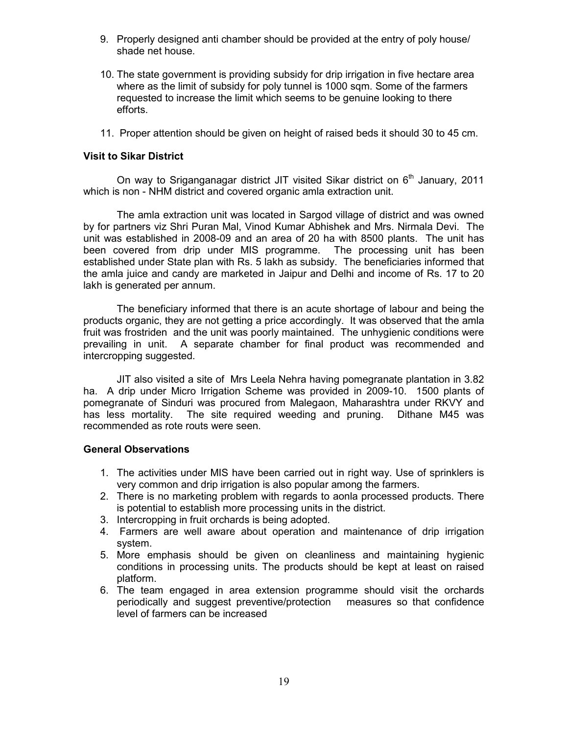- 9. Properly designed anti chamber should be provided at the entry of poly house/ shade net house.
- 10. The state government is providing subsidy for drip irrigation in five hectare area where as the limit of subsidy for poly tunnel is 1000 sqm. Some of the farmers requested to increase the limit which seems to be genuine looking to there efforts.
- 11. Proper attention should be given on height of raised beds it should 30 to 45 cm.

## Visit to Sikar District

On way to Sriganganagar district JIT visited Sikar district on  $6<sup>th</sup>$  January, 2011 which is non - NHM district and covered organic amla extraction unit.

 The amla extraction unit was located in Sargod village of district and was owned by for partners viz Shri Puran Mal, Vinod Kumar Abhishek and Mrs. Nirmala Devi. The unit was established in 2008-09 and an area of 20 ha with 8500 plants. The unit has been covered from drip under MIS programme. The processing unit has been established under State plan with Rs. 5 lakh as subsidy. The beneficiaries informed that the amla juice and candy are marketed in Jaipur and Delhi and income of Rs. 17 to 20 lakh is generated per annum.

 The beneficiary informed that there is an acute shortage of labour and being the products organic, they are not getting a price accordingly. It was observed that the amla fruit was frostriden and the unit was poorly maintained. The unhygienic conditions were prevailing in unit. A separate chamber for final product was recommended and intercropping suggested.

 JIT also visited a site of Mrs Leela Nehra having pomegranate plantation in 3.82 ha. A drip under Micro Irrigation Scheme was provided in 2009-10. 1500 plants of pomegranate of Sinduri was procured from Malegaon, Maharashtra under RKVY and has less mortality. The site required weeding and pruning. Dithane M45 was recommended as rote routs were seen.

#### General Observations

- 1. The activities under MIS have been carried out in right way. Use of sprinklers is very common and drip irrigation is also popular among the farmers.
- 2. There is no marketing problem with regards to aonla processed products. There is potential to establish more processing units in the district.
- 3. Intercropping in fruit orchards is being adopted.
- 4. Farmers are well aware about operation and maintenance of drip irrigation system.
- 5. More emphasis should be given on cleanliness and maintaining hygienic conditions in processing units. The products should be kept at least on raised platform.
- 6. The team engaged in area extension programme should visit the orchards periodically and suggest preventive/protection measures so that confidence level of farmers can be increased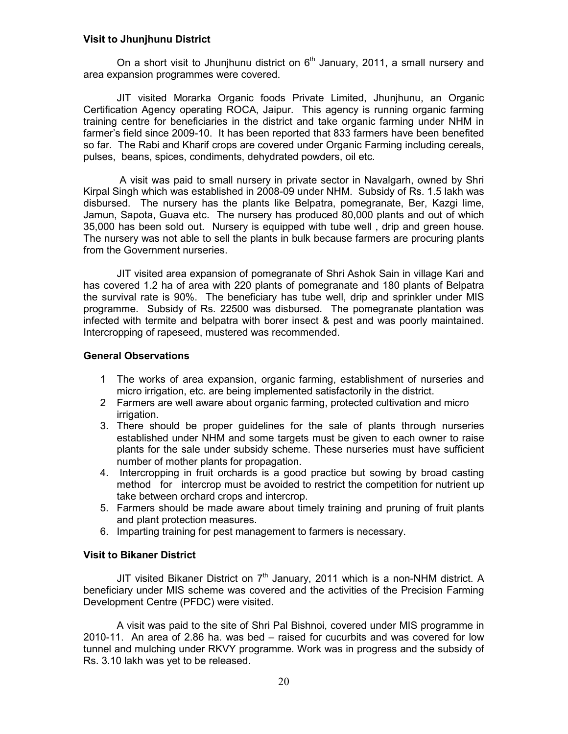#### Visit to Jhunjhunu District

On a short visit to Jhunjhunu district on  $6<sup>th</sup>$  January, 2011, a small nursery and area expansion programmes were covered.

 JIT visited Morarka Organic foods Private Limited, Jhunjhunu, an Organic Certification Agency operating ROCA, Jaipur. This agency is running organic farming training centre for beneficiaries in the district and take organic farming under NHM in farmer's field since 2009-10. It has been reported that 833 farmers have been benefited so far. The Rabi and Kharif crops are covered under Organic Farming including cereals, pulses, beans, spices, condiments, dehydrated powders, oil etc.

 A visit was paid to small nursery in private sector in Navalgarh, owned by Shri Kirpal Singh which was established in 2008-09 under NHM. Subsidy of Rs. 1.5 lakh was disbursed. The nursery has the plants like Belpatra, pomegranate, Ber, Kazgi lime, Jamun, Sapota, Guava etc. The nursery has produced 80,000 plants and out of which 35,000 has been sold out. Nursery is equipped with tube well , drip and green house. The nursery was not able to sell the plants in bulk because farmers are procuring plants from the Government nurseries.

 JIT visited area expansion of pomegranate of Shri Ashok Sain in village Kari and has covered 1.2 ha of area with 220 plants of pomegranate and 180 plants of Belpatra the survival rate is 90%. The beneficiary has tube well, drip and sprinkler under MIS programme. Subsidy of Rs. 22500 was disbursed. The pomegranate plantation was infected with termite and belpatra with borer insect & pest and was poorly maintained. Intercropping of rapeseed, mustered was recommended.

#### General Observations

- 1 The works of area expansion, organic farming, establishment of nurseries and micro irrigation, etc. are being implemented satisfactorily in the district.
- 2 Farmers are well aware about organic farming, protected cultivation and micro irrigation.
- 3. There should be proper guidelines for the sale of plants through nurseries established under NHM and some targets must be given to each owner to raise plants for the sale under subsidy scheme. These nurseries must have sufficient number of mother plants for propagation.
- 4. Intercropping in fruit orchards is a good practice but sowing by broad casting method for intercrop must be avoided to restrict the competition for nutrient up take between orchard crops and intercrop.
- 5. Farmers should be made aware about timely training and pruning of fruit plants and plant protection measures.
- 6. Imparting training for pest management to farmers is necessary.

#### Visit to Bikaner District

JIT visited Bikaner District on  $7<sup>th</sup>$  January, 2011 which is a non-NHM district. A beneficiary under MIS scheme was covered and the activities of the Precision Farming Development Centre (PFDC) were visited.

 A visit was paid to the site of Shri Pal Bishnoi, covered under MIS programme in 2010-11. An area of 2.86 ha. was bed – raised for cucurbits and was covered for low tunnel and mulching under RKVY programme. Work was in progress and the subsidy of Rs. 3.10 lakh was yet to be released.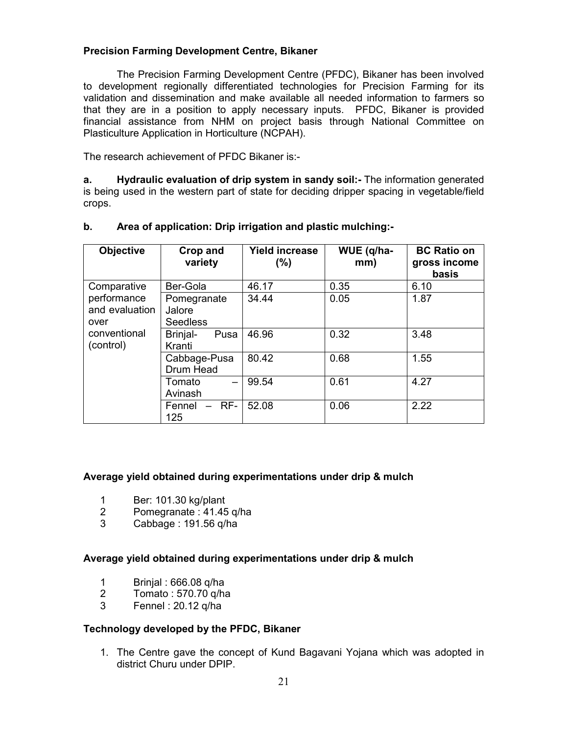# Precision Farming Development Centre, Bikaner

 The Precision Farming Development Centre (PFDC), Bikaner has been involved to development regionally differentiated technologies for Precision Farming for its validation and dissemination and make available all needed information to farmers so that they are in a position to apply necessary inputs. PFDC, Bikaner is provided financial assistance from NHM on project basis through National Committee on Plasticulture Application in Horticulture (NCPAH).

The research achievement of PFDC Bikaner is:-

a. Hydraulic evaluation of drip system in sandy soil:- The information generated is being used in the western part of state for deciding dripper spacing in vegetable/field crops.

| <b>Objective</b>                      | Crop and<br>variety                      | <b>Yield increase</b><br>$(\%)$ | WUE (q/ha-<br>mm) | <b>BC Ratio on</b><br>gross income<br>basis |
|---------------------------------------|------------------------------------------|---------------------------------|-------------------|---------------------------------------------|
| Comparative                           | Ber-Gola                                 | 46.17                           | 0.35              | 6.10                                        |
| performance<br>and evaluation<br>over | Pomegranate<br>Jalore<br><b>Seedless</b> | 34.44                           | 0.05              | 1.87                                        |
| conventional<br>(control)             | Brinjal-<br>Pusa<br>Kranti               | 46.96                           | 0.32              | 3.48                                        |
|                                       | Cabbage-Pusa<br>Drum Head                | 80.42                           | 0.68              | 1.55                                        |
|                                       | Tomato<br>Avinash                        | 99.54                           | 0.61              | 4.27                                        |
|                                       | $-$ RF-<br>Fennel<br>125                 | 52.08                           | 0.06              | 2.22                                        |

# b. Area of application: Drip irrigation and plastic mulching:-

# Average yield obtained during experimentations under drip & mulch

- 1 Ber: 101.30 kg/plant
- 2 Pomegranate :  $41.45$  q/ha<br>3 Cabbage : 191.56 g/ha
- 3 Cabbage : 191.56 q/ha

# Average yield obtained during experimentations under drip & mulch

- 1 Brinjal : 666.08 q/ha<br>2 Tomato : 570.70 g/ha
- 2 Tomato : 570.70 q/ha
- 3 Fennel : 20.12 q/ha

#### Technology developed by the PFDC, Bikaner

1. The Centre gave the concept of Kund Bagavani Yojana which was adopted in district Churu under DPIP.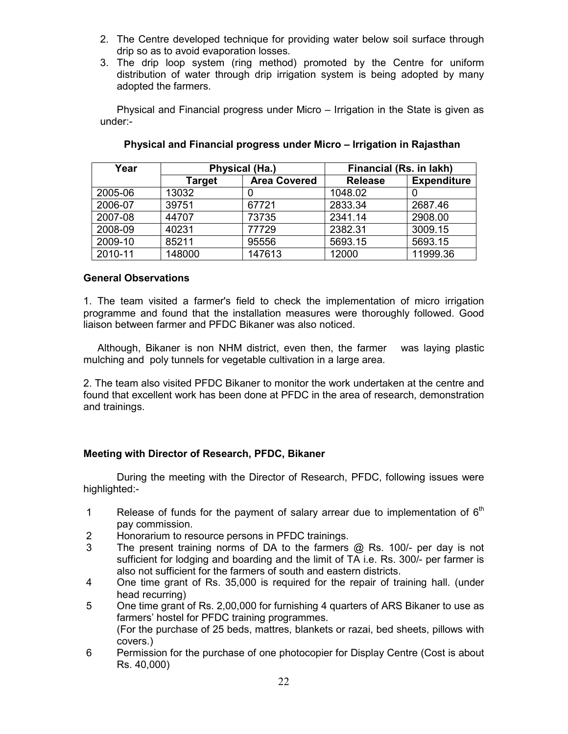- 2. The Centre developed technique for providing water below soil surface through drip so as to avoid evaporation losses.
- 3. The drip loop system (ring method) promoted by the Centre for uniform distribution of water through drip irrigation system is being adopted by many adopted the farmers.

Physical and Financial progress under Micro – Irrigation in the State is given as under:-

| Year    |               | Physical (Ha.)      | Financial (Rs. in lakh) |                    |  |
|---------|---------------|---------------------|-------------------------|--------------------|--|
|         | <b>Target</b> | <b>Area Covered</b> | <b>Release</b>          | <b>Expenditure</b> |  |
| 2005-06 | 13032         |                     | 1048.02                 |                    |  |
| 2006-07 | 39751         | 67721               | 2833.34                 | 2687.46            |  |
| 2007-08 | 44707         | 73735               | 2341.14                 | 2908.00            |  |
| 2008-09 | 40231         | 77729               | 2382.31                 | 3009.15            |  |
| 2009-10 | 85211         | 95556               | 5693.15                 | 5693.15            |  |
| 2010-11 | 148000        | 147613              | 12000                   | 11999.36           |  |

# Physical and Financial progress under Micro – Irrigation in Rajasthan

## General Observations

1. The team visited a farmer's field to check the implementation of micro irrigation programme and found that the installation measures were thoroughly followed. Good liaison between farmer and PFDC Bikaner was also noticed.

 Although, Bikaner is non NHM district, even then, the farmer was laying plastic mulching and poly tunnels for vegetable cultivation in a large area.

2. The team also visited PFDC Bikaner to monitor the work undertaken at the centre and found that excellent work has been done at PFDC in the area of research, demonstration and trainings.

# Meeting with Director of Research, PFDC, Bikaner

 During the meeting with the Director of Research, PFDC, following issues were highlighted:-

- 1 Release of funds for the payment of salary arrear due to implementation of  $6<sup>th</sup>$ pay commission.
- 2 Honorarium to resource persons in PFDC trainings.<br>3 The present training norms of DA to the farmers
- The present training norms of DA to the farmers  $@$  Rs. 100/- per day is not sufficient for lodging and boarding and the limit of TA i.e. Rs. 300/- per farmer is also not sufficient for the farmers of south and eastern districts.
- 4 One time grant of Rs. 35,000 is required for the repair of training hall. (under head recurring)

5 One time grant of Rs. 2,00,000 for furnishing 4 quarters of ARS Bikaner to use as farmers' hostel for PFDC training programmes. (For the purchase of 25 beds, mattres, blankets or razai, bed sheets, pillows with covers.)

6 Permission for the purchase of one photocopier for Display Centre (Cost is about Rs. 40,000)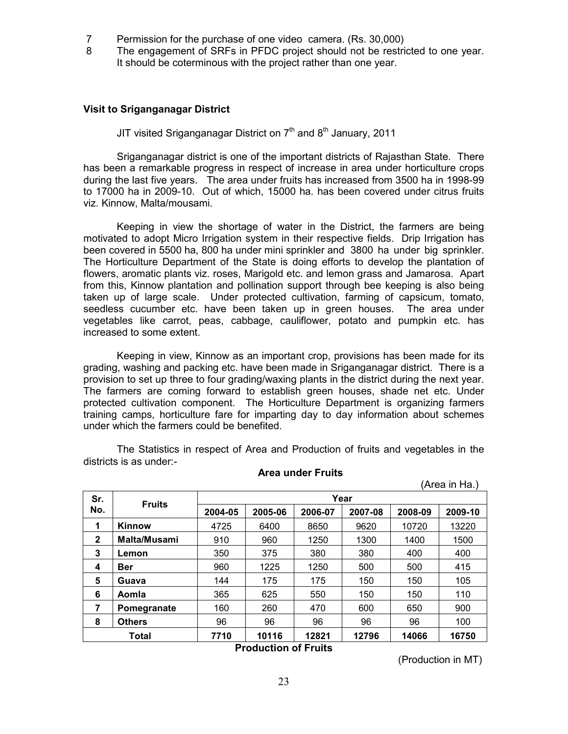- 7 Permission for the purchase of one video camera. (Rs. 30,000)
- 8 The engagement of SRFs in PFDC project should not be restricted to one year. It should be coterminous with the project rather than one year.

#### Visit to Sriganganagar District

JIT visited Sriganganagar District on  $7<sup>th</sup>$  and  $8<sup>th</sup>$  January, 2011

 Sriganganagar district is one of the important districts of Rajasthan State. There has been a remarkable progress in respect of increase in area under horticulture crops during the last five years. The area under fruits has increased from 3500 ha in 1998-99 to 17000 ha in 2009-10. Out of which, 15000 ha. has been covered under citrus fruits viz. Kinnow, Malta/mousami.

 Keeping in view the shortage of water in the District, the farmers are being motivated to adopt Micro Irrigation system in their respective fields. Drip Irrigation has been covered in 5500 ha, 800 ha under mini sprinkler and 3800 ha under big sprinkler. The Horticulture Department of the State is doing efforts to develop the plantation of flowers, aromatic plants viz. roses, Marigold etc. and lemon grass and Jamarosa. Apart from this, Kinnow plantation and pollination support through bee keeping is also being taken up of large scale. Under protected cultivation, farming of capsicum, tomato, seedless cucumber etc. have been taken up in green houses. The area under vegetables like carrot, peas, cabbage, cauliflower, potato and pumpkin etc. has increased to some extent.

 Keeping in view, Kinnow as an important crop, provisions has been made for its grading, washing and packing etc. have been made in Sriganganagar district. There is a provision to set up three to four grading/waxing plants in the district during the next year. The farmers are coming forward to establish green houses, shade net etc. Under protected cultivation component. The Horticulture Department is organizing farmers training camps, horticulture fare for imparting day to day information about schemes under which the farmers could be benefited.

The Statistics in respect of Area and Production of fruits and vegetables in the districts is as under:-

| (Area in Ha.)       |               |         |         |         |         |         |  |  |  |
|---------------------|---------------|---------|---------|---------|---------|---------|--|--|--|
|                     | Year          |         |         |         |         |         |  |  |  |
| No.                 | 2004-05       | 2005-06 | 2006-07 | 2007-08 | 2008-09 | 2009-10 |  |  |  |
| Kinnow              | 4725          | 6400    | 8650    | 9620    | 10720   | 13220   |  |  |  |
| <b>Malta/Musami</b> | 910           | 960     | 1250    | 1300    | 1400    | 1500    |  |  |  |
| Lemon               | 350           | 375     | 380     | 380     | 400     | 400     |  |  |  |
| Ber                 | 960           | 1225    | 1250    | 500     | 500     | 415     |  |  |  |
| Guava               | 144           | 175     | 175     | 150     | 150     | 105     |  |  |  |
| Aomla               | 365           | 625     | 550     | 150     | 150     | 110     |  |  |  |
| Pomegranate         | 160           | 260     | 470     | 600     | 650     | 900     |  |  |  |
| <b>Others</b>       | 96            | 96      | 96      | 96      | 96      | 100     |  |  |  |
| Total               | 7710          | 10116   | 12821   | 12796   | 14066   | 16750   |  |  |  |
|                     | <b>Fruits</b> |         |         |         |         |         |  |  |  |

Area under Fruits

Production of Fruits

(Production in MT)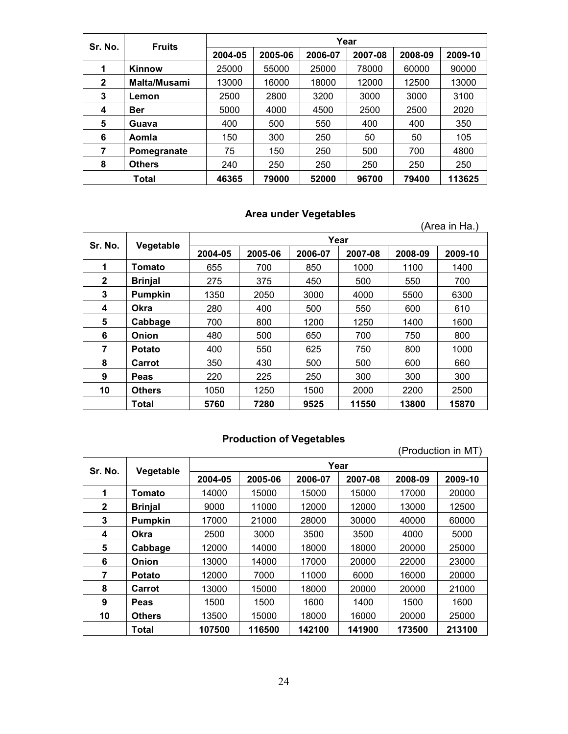| Sr. No.     | <b>Fruits</b> |         |         |         | Year    |         |         |
|-------------|---------------|---------|---------|---------|---------|---------|---------|
|             |               | 2004-05 | 2005-06 | 2006-07 | 2007-08 | 2008-09 | 2009-10 |
| 1           | <b>Kinnow</b> | 25000   | 55000   | 25000   | 78000   | 60000   | 90000   |
| $\mathbf 2$ | Malta/Musami  | 13000   | 16000   | 18000   | 12000   | 12500   | 13000   |
| 3           | Lemon         | 2500    | 2800    | 3200    | 3000    | 3000    | 3100    |
| 4           | <b>Ber</b>    | 5000    | 4000    | 4500    | 2500    | 2500    | 2020    |
| 5           | Guava         | 400     | 500     | 550     | 400     | 400     | 350     |
| 6           | Aomla         | 150     | 300     | 250     | 50      | 50      | 105     |
| 7           | Pomegranate   | 75      | 150     | 250     | 500     | 700     | 4800    |
| 8           | <b>Others</b> | 240     | 250     | 250     | 250     | 250     | 250     |
|             | Total         | 46365   | 79000   | 52000   | 96700   | 79400   | 113625  |

# Area under Vegetables

|             |                |         |         |         |         |         | (Area in Ha.) |  |  |  |
|-------------|----------------|---------|---------|---------|---------|---------|---------------|--|--|--|
| Sr. No.     | Vegetable      | Year    |         |         |         |         |               |  |  |  |
|             |                | 2004-05 | 2005-06 | 2006-07 | 2007-08 | 2008-09 | 2009-10       |  |  |  |
| 1           | Tomato         | 655     | 700     | 850     | 1000    | 1100    | 1400          |  |  |  |
| $\mathbf 2$ | <b>Brinjal</b> | 275     | 375     | 450     | 500     | 550     | 700           |  |  |  |
| 3           | <b>Pumpkin</b> | 1350    | 2050    | 3000    | 4000    | 5500    | 6300          |  |  |  |
| 4           | <b>Okra</b>    | 280     | 400     | 500     | 550     | 600     | 610           |  |  |  |
| 5           | Cabbage        | 700     | 800     | 1200    | 1250    | 1400    | 1600          |  |  |  |
| 6           | Onion          | 480     | 500     | 650     | 700     | 750     | 800           |  |  |  |
| 7           | <b>Potato</b>  | 400     | 550     | 625     | 750     | 800     | 1000          |  |  |  |
| 8           | Carrot         | 350     | 430     | 500     | 500     | 600     | 660           |  |  |  |
| 9           | <b>Peas</b>    | 220     | 225     | 250     | 300     | 300     | 300           |  |  |  |
| 10          | <b>Others</b>  | 1050    | 1250    | 1500    | 2000    | 2200    | 2500          |  |  |  |
|             | Total          | 5760    | 7280    | 9525    | 11550   | 13800   | 15870         |  |  |  |

# Production of Vegetables

|              |                | (Production in MT) |         |         |         |         |         |  |  |  |
|--------------|----------------|--------------------|---------|---------|---------|---------|---------|--|--|--|
| Sr. No.      | Vegetable      |                    | Year    |         |         |         |         |  |  |  |
|              |                | 2004-05            | 2005-06 | 2006-07 | 2007-08 | 2008-09 | 2009-10 |  |  |  |
| 1            | Tomato         | 14000              | 15000   | 15000   | 15000   | 17000   | 20000   |  |  |  |
| $\mathbf{2}$ | <b>Brinjal</b> | 9000               | 11000   | 12000   | 12000   | 13000   | 12500   |  |  |  |
| 3            | <b>Pumpkin</b> | 17000              | 21000   | 28000   | 30000   | 40000   | 60000   |  |  |  |
| 4            | <b>Okra</b>    | 2500               | 3000    | 3500    | 3500    | 4000    | 5000    |  |  |  |
| 5            | Cabbage        | 12000              | 14000   | 18000   | 18000   | 20000   | 25000   |  |  |  |
| 6            | Onion          | 13000              | 14000   | 17000   | 20000   | 22000   | 23000   |  |  |  |
| 7            | <b>Potato</b>  | 12000              | 7000    | 11000   | 6000    | 16000   | 20000   |  |  |  |
| 8            | Carrot         | 13000              | 15000   | 18000   | 20000   | 20000   | 21000   |  |  |  |
| 9            | <b>Peas</b>    | 1500               | 1500    | 1600    | 1400    | 1500    | 1600    |  |  |  |
| 10           | <b>Others</b>  | 13500              | 15000   | 18000   | 16000   | 20000   | 25000   |  |  |  |
|              | <b>Total</b>   | 107500             | 116500  | 142100  | 141900  | 173500  | 213100  |  |  |  |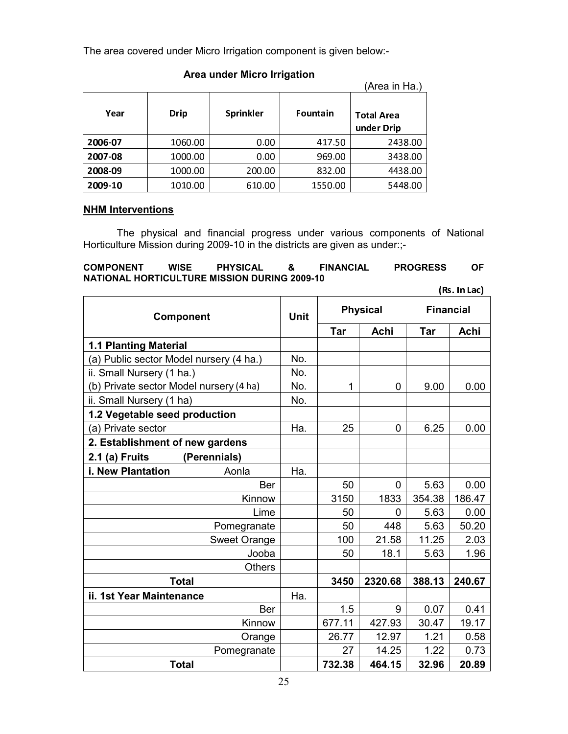The area covered under Micro Irrigation component is given below:-

|         |         |           |                 | (Area in Ha.)                   |
|---------|---------|-----------|-----------------|---------------------------------|
| Year    | Drip    | Sprinkler | <b>Fountain</b> | <b>Total Area</b><br>under Drip |
| 2006-07 | 1060.00 | 0.00      | 417.50          | 2438.00                         |
| 2007-08 | 1000.00 | 0.00      | 969.00          | 3438.00                         |
| 2008-09 | 1000.00 | 200.00    | 832.00          | 4438.00                         |
| 2009-10 | 1010.00 | 610.00    | 1550.00         | 5448.00                         |

# Area under Micro Irrigation

# **NHM Interventions**

 The physical and financial progress under various components of National Horticulture Mission during 2009-10 in the districts are given as under:;-

#### COMPONENT WISE PHYSICAL & FINANCIAL PROGRESS OF NATIONAL HORTICULTURE MISSION DURING 2009-10

 $(Rs. In Lac)$ 

| Component                               |               | <b>Unit</b> |        | <b>Physical</b> | <b>Financial</b> |        |  |
|-----------------------------------------|---------------|-------------|--------|-----------------|------------------|--------|--|
|                                         |               |             | Tar    | Achi            | Tar              | Achi   |  |
| <b>1.1 Planting Material</b>            |               |             |        |                 |                  |        |  |
| (a) Public sector Model nursery (4 ha.) |               | No.         |        |                 |                  |        |  |
| ii. Small Nursery (1 ha.)               |               | No.         |        |                 |                  |        |  |
| (b) Private sector Model nursery (4 ha) |               | No.         | 1      | 0               | 9.00             | 0.00   |  |
| ii. Small Nursery (1 ha)                |               | No.         |        |                 |                  |        |  |
| 1.2 Vegetable seed production           |               |             |        |                 |                  |        |  |
| (a) Private sector                      |               | Ha.         | 25     | 0               | 6.25             | 0.00   |  |
| 2. Establishment of new gardens         |               |             |        |                 |                  |        |  |
| 2.1 (a) Fruits                          | (Perennials)  |             |        |                 |                  |        |  |
| i. New Plantation                       | Aonla         | Ha.         |        |                 |                  |        |  |
|                                         | <b>Ber</b>    |             | 50     | 0               | 5.63             | 0.00   |  |
|                                         | Kinnow        |             | 3150   | 1833            | 354.38           | 186.47 |  |
|                                         | Lime          |             | 50     | 0               | 5.63             | 0.00   |  |
|                                         | Pomegranate   |             | 50     | 448             | 5.63             | 50.20  |  |
|                                         | Sweet Orange  |             | 100    | 21.58           | 11.25            | 2.03   |  |
|                                         | Jooba         |             | 50     | 18.1            | 5.63             | 1.96   |  |
|                                         | <b>Others</b> |             |        |                 |                  |        |  |
| <b>Total</b>                            |               |             | 3450   | 2320.68         | 388.13           | 240.67 |  |
| ii. 1st Year Maintenance                |               | Ha.         |        |                 |                  |        |  |
|                                         | Ber           |             | 1.5    | 9               | 0.07             | 0.41   |  |
|                                         | Kinnow        |             | 677.11 | 427.93          | 30.47            | 19.17  |  |
|                                         | Orange        |             | 26.77  | 12.97           | 1.21             | 0.58   |  |
|                                         | Pomegranate   |             | 27     | 14.25           | 1.22             | 0.73   |  |
| <b>Total</b>                            |               |             | 732.38 | 464.15          | 32.96            | 20.89  |  |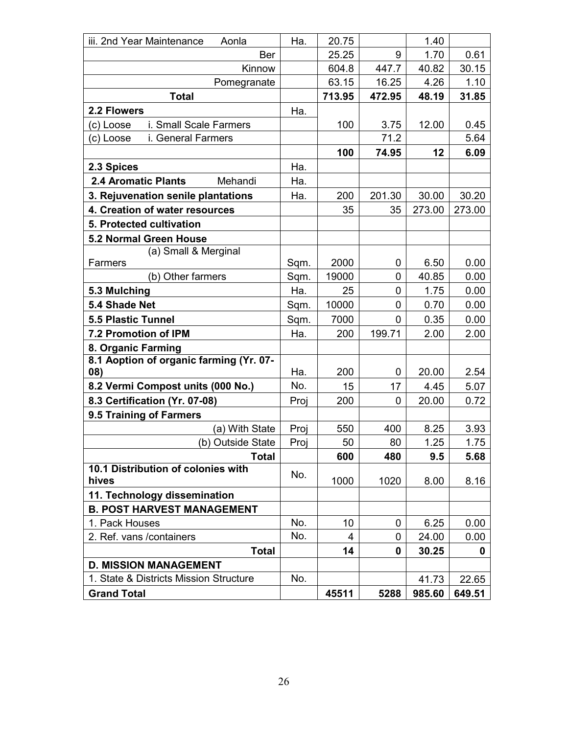| iii. 2nd Year Maintenance<br>Aonla      | Ha.  | 20.75  |        | 1.40   |        |
|-----------------------------------------|------|--------|--------|--------|--------|
| Ber                                     |      | 25.25  | 9      | 1.70   | 0.61   |
| Kinnow                                  |      | 604.8  | 447.7  | 40.82  | 30.15  |
| Pomegranate                             |      | 63.15  | 16.25  | 4.26   | 1.10   |
| <b>Total</b>                            |      | 713.95 | 472.95 | 48.19  | 31.85  |
| 2.2 Flowers                             | Ha.  |        |        |        |        |
| i. Small Scale Farmers<br>(c) Loose     |      | 100    | 3.75   | 12.00  | 0.45   |
| (c) Loose<br>i. General Farmers         |      |        | 71.2   |        | 5.64   |
|                                         |      | 100    | 74.95  | 12     | 6.09   |
| 2.3 Spices                              | Ha.  |        |        |        |        |
| <b>2.4 Aromatic Plants</b><br>Mehandi   | Ha.  |        |        |        |        |
| 3. Rejuvenation senile plantations      | Ha.  | 200    | 201.30 | 30.00  | 30.20  |
| 4. Creation of water resources          |      | 35     | 35     | 273.00 | 273.00 |
| 5. Protected cultivation                |      |        |        |        |        |
| <b>5.2 Normal Green House</b>           |      |        |        |        |        |
| (a) Small & Merginal                    |      |        |        |        |        |
| Farmers                                 | Sqm. | 2000   | 0      | 6.50   | 0.00   |
| (b) Other farmers                       | Sqm. | 19000  | 0      | 40.85  | 0.00   |
| 5.3 Mulching                            | Ha.  | 25     | 0      | 1.75   | 0.00   |
| 5.4 Shade Net                           | Sqm. | 10000  | 0      | 0.70   | 0.00   |
| <b>5.5 Plastic Tunnel</b>               | Sqm. | 7000   | 0      | 0.35   | 0.00   |
| 7.2 Promotion of IPM                    | Ha.  | 200    | 199.71 | 2.00   | 2.00   |
| 8. Organic Farming                      |      |        |        |        |        |
| 8.1 Aoption of organic farming (Yr. 07- |      |        |        |        |        |
| 08)                                     | Ha.  | 200    | 0      | 20.00  | 2.54   |
| 8.2 Vermi Compost units (000 No.)       | No.  | 15     | 17     | 4.45   | 5.07   |
| 8.3 Certification (Yr. 07-08)           | Proj | 200    | 0      | 20.00  | 0.72   |
| 9.5 Training of Farmers                 |      |        |        |        |        |
| (a) With State                          | Proj | 550    | 400    | 8.25   | 3.93   |
| (b) Outside State                       | Proi | 50     | 80     | 1.25   | 1.75   |
| <b>Total</b>                            |      | 600    | 480    | 9.5    | 5.68   |
| 10.1 Distribution of colonies with      | No.  |        |        |        |        |
| hives                                   |      | 1000   | 1020   | 8.00   | 8.16   |
| 11. Technology dissemination            |      |        |        |        |        |
| <b>B. POST HARVEST MANAGEMENT</b>       |      |        |        |        |        |
| 1. Pack Houses                          | No.  | 10     | 0      | 6.25   | 0.00   |
| 2. Ref. vans / containers               | No.  | 4      | 0      | 24.00  | 0.00   |
| <b>Total</b>                            |      | 14     | 0      | 30.25  | 0      |
| <b>D. MISSION MANAGEMENT</b>            |      |        |        |        |        |
| 1. State & Districts Mission Structure  | No.  |        |        | 41.73  | 22.65  |
| <b>Grand Total</b>                      |      | 45511  | 5288   | 985.60 | 649.51 |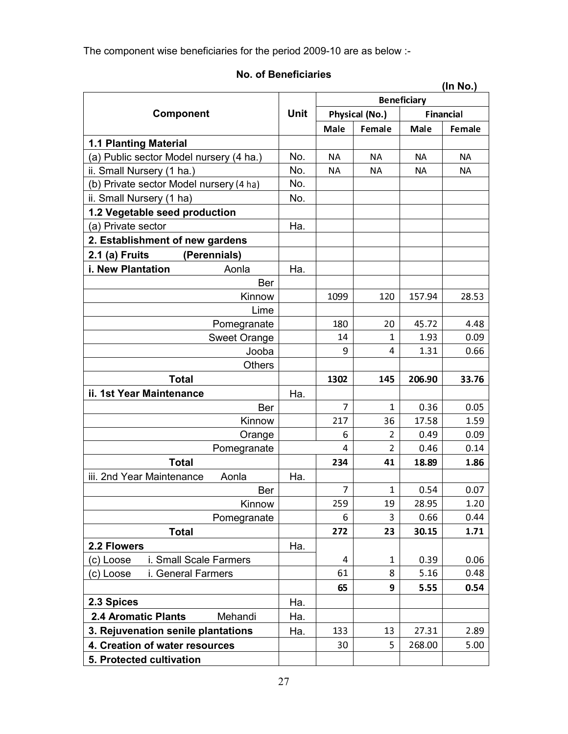The component wise beneficiaries for the period 2009-10 are as below :-

# No. of Beneficiaries

|                                         |             |             |                |                    | (In No.)         |
|-----------------------------------------|-------------|-------------|----------------|--------------------|------------------|
|                                         |             |             |                | <b>Beneficiary</b> |                  |
| Component                               | <b>Unit</b> |             | Physical (No.) |                    | <b>Financial</b> |
|                                         |             | <b>Male</b> | Female         | Male               | Female           |
| <b>1.1 Planting Material</b>            |             |             |                |                    |                  |
| (a) Public sector Model nursery (4 ha.) | No.         | NA.         | <b>NA</b>      | <b>NA</b>          | NА               |
| ii. Small Nursery (1 ha.)               | No.         | ΝA          | ΝA             | ΝA                 | ΝA               |
| (b) Private sector Model nursery (4 ha) | No.         |             |                |                    |                  |
| ii. Small Nursery (1 ha)                | No.         |             |                |                    |                  |
| 1.2 Vegetable seed production           |             |             |                |                    |                  |
| (a) Private sector                      | Ha.         |             |                |                    |                  |
| 2. Establishment of new gardens         |             |             |                |                    |                  |
| 2.1 (a) Fruits<br>(Perennials)          |             |             |                |                    |                  |
| i. New Plantation<br>Aonla              | Ha.         |             |                |                    |                  |
| Ber                                     |             |             |                |                    |                  |
| Kinnow                                  |             | 1099        | 120            | 157.94             | 28.53            |
| Lime                                    |             |             |                |                    |                  |
| Pomegranate                             |             | 180         | 20             | 45.72              | 4.48             |
| <b>Sweet Orange</b>                     |             | 14          | $\mathbf{1}$   | 1.93               | 0.09             |
| Jooba                                   |             | 9           | 4              | 1.31               | 0.66             |
| <b>Others</b>                           |             |             |                |                    |                  |
| <b>Total</b>                            |             | 1302        | 145            | 206.90             | 33.76            |
| ii. 1st Year Maintenance                | Ha.         |             |                |                    |                  |
| Ber                                     |             | 7           | 1              | 0.36               | 0.05             |
| Kinnow                                  |             | 217         | 36             | 17.58              | 1.59             |
| Orange                                  |             | 6           | 2              | 0.49               | 0.09             |
| Pomegranate                             |             | 4           | $\overline{2}$ | 0.46               | 0.14             |
| <b>Total</b>                            |             | 234         | 41             | 18.89              | 1.86             |
| iii. 2nd Year Maintenance<br>Aonla      | Ha.         |             |                |                    |                  |
| Ber                                     |             | 7           | 1              | 0.54               | 0.07             |
| Kinnow                                  |             | 259         | 19             | 28.95              | 1.20             |
| Pomegranate                             |             | 6           | 3              | 0.66               | 0.44             |
| Total                                   |             | 272         | 23             | 30.15              | 1.71             |
| 2.2 Flowers                             | Ha.         |             |                |                    |                  |
| i. Small Scale Farmers<br>(c) Loose     |             | 4           | 1              | 0.39               | 0.06             |
| i. General Farmers<br>(c) Loose         |             | 61          | 8              | 5.16               | 0.48             |
|                                         |             | 65          | 9              | 5.55               | 0.54             |
| 2.3 Spices                              | Ha.         |             |                |                    |                  |
| <b>2.4 Aromatic Plants</b><br>Mehandi   | Ha.         |             |                |                    |                  |
| 3. Rejuvenation senile plantations      | Ha.         | 133         | 13             | 27.31              | 2.89             |
| 4. Creation of water resources          |             | 30          | 5              | 268.00             | 5.00             |
| 5. Protected cultivation                |             |             |                |                    |                  |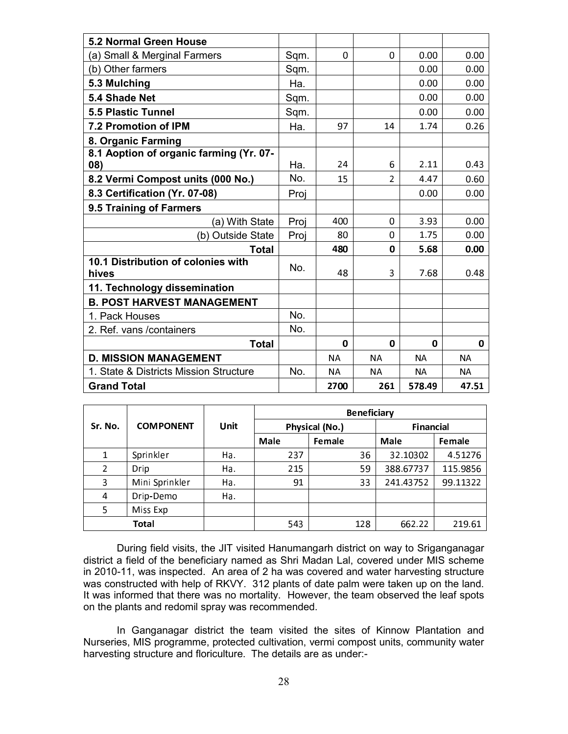| <b>5.2 Normal Green House</b>                  |      |           |                |           |           |
|------------------------------------------------|------|-----------|----------------|-----------|-----------|
| (a) Small & Merginal Farmers                   | Sqm. | 0         | 0              | 0.00      | 0.00      |
| (b) Other farmers                              | Sqm. |           |                | 0.00      | 0.00      |
| 5.3 Mulching                                   | Ha.  |           |                | 0.00      | 0.00      |
| 5.4 Shade Net                                  | Sqm. |           |                | 0.00      | 0.00      |
| <b>5.5 Plastic Tunnel</b>                      | Sqm. |           |                | 0.00      | 0.00      |
| 7.2 Promotion of IPM                           | Ha.  | 97        | 14             | 1.74      | 0.26      |
| 8. Organic Farming                             |      |           |                |           |           |
| 8.1 Aoption of organic farming (Yr. 07-<br>08) | Ha.  | 24        | 6              | 2.11      | 0.43      |
| 8.2 Vermi Compost units (000 No.)              | No.  | 15        | $\overline{2}$ | 4.47      | 0.60      |
| 8.3 Certification (Yr. 07-08)                  | Proj |           |                | 0.00      | 0.00      |
| 9.5 Training of Farmers                        |      |           |                |           |           |
| (a) With State                                 | Proi | 400       | 0              | 3.93      | 0.00      |
| (b) Outside State                              | Proj | 80        | $\Omega$       | 1.75      | 0.00      |
| <b>Total</b>                                   |      | 480       | 0              | 5.68      | 0.00      |
| 10.1 Distribution of colonies with<br>hives    | No.  | 48        | 3              | 7.68      | 0.48      |
| 11. Technology dissemination                   |      |           |                |           |           |
| <b>B. POST HARVEST MANAGEMENT</b>              |      |           |                |           |           |
| 1. Pack Houses                                 | No.  |           |                |           |           |
| 2. Ref. vans / containers                      | No.  |           |                |           |           |
| <b>Total</b>                                   |      | 0         | 0              | 0         | 0         |
| <b>D. MISSION MANAGEMENT</b>                   |      | <b>NA</b> | <b>NA</b>      | <b>NA</b> | <b>NA</b> |
| 1. State & Districts Mission Structure         | No.  | NA.       | <b>NA</b>      | <b>NA</b> | <b>NA</b> |
| <b>Grand Total</b>                             |      | 2700      | 261            | 578.49    | 47.51     |

|         |                  |             | <b>Beneficiary</b> |        |           |          |                  |  |  |
|---------|------------------|-------------|--------------------|--------|-----------|----------|------------------|--|--|
| Sr. No. | <b>COMPONENT</b> | <b>Unit</b> | Physical (No.)     |        |           |          | <b>Financial</b> |  |  |
|         |                  |             | <b>Male</b>        | Female | Male      | Female   |                  |  |  |
|         | Sprinkler        | Ha.         | 237                | 36     | 32.10302  | 4.51276  |                  |  |  |
| 2       | Drip             | Ha.         | 215                | 59     | 388.67737 | 115.9856 |                  |  |  |
| 3       | Mini Sprinkler   | Ha.         | 91                 | 33     | 241.43752 | 99.11322 |                  |  |  |
| 4       | Drip-Demo        | Ha.         |                    |        |           |          |                  |  |  |
| 5.      | Miss Exp         |             |                    |        |           |          |                  |  |  |
|         | <b>Total</b>     |             | 543                | 128    | 662.22    | 219.61   |                  |  |  |

During field visits, the JIT visited Hanumangarh district on way to Sriganganagar district a field of the beneficiary named as Shri Madan Lal, covered under MIS scheme in 2010-11, was inspected. An area of 2 ha was covered and water harvesting structure was constructed with help of RKVY. 312 plants of date palm were taken up on the land. It was informed that there was no mortality. However, the team observed the leaf spots on the plants and redomil spray was recommended.

In Ganganagar district the team visited the sites of Kinnow Plantation and Nurseries, MIS programme, protected cultivation, vermi compost units, community water harvesting structure and floriculture. The details are as under:-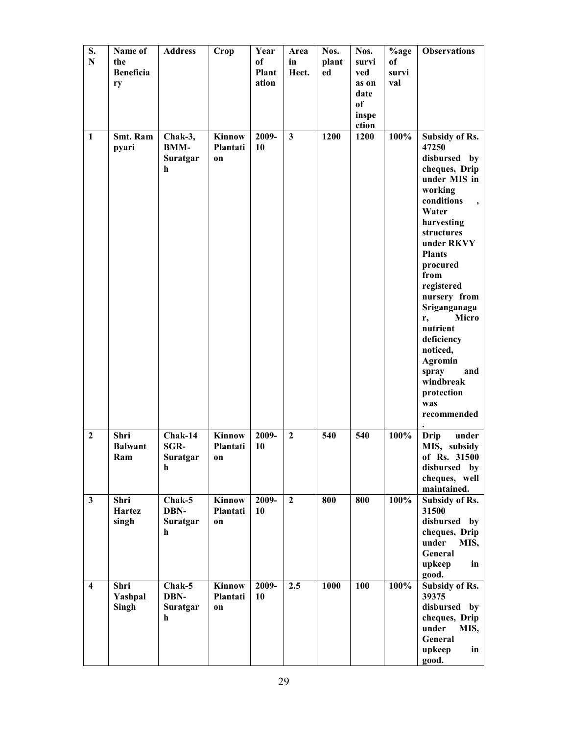| S.<br>${\bf N}$         | Name of<br>the<br><b>Beneficia</b><br>ry | <b>Address</b>                          | Crop                            | Year<br>of<br>Plant<br>ation | Area<br>in<br>Hect.     | Nos.<br>plant<br>ed | Nos.<br>survi<br>ved<br>as on<br>date<br>of<br>inspe<br>ction | %age<br>of<br>survi<br>val | <b>Observations</b>                                                                                                                                                                                                                                                                                                                                                                           |
|-------------------------|------------------------------------------|-----------------------------------------|---------------------------------|------------------------------|-------------------------|---------------------|---------------------------------------------------------------|----------------------------|-----------------------------------------------------------------------------------------------------------------------------------------------------------------------------------------------------------------------------------------------------------------------------------------------------------------------------------------------------------------------------------------------|
| $\mathbf{1}$            | <b>Smt. Ram</b><br>pyari                 | Chak-3,<br><b>BMM-</b><br>Suratgar<br>h | Kinnow<br>Plantati<br>on        | 2009-<br>10                  | $\overline{\mathbf{3}}$ | 1200                | 1200                                                          | 100%                       | Subsidy of Rs.<br>47250<br>disbursed<br>by<br>cheques, Drip<br>under MIS in<br>working<br>conditions<br>$\cdot$<br>Water<br>harvesting<br>structures<br>under RKVY<br><b>Plants</b><br>procured<br>from<br>registered<br>nursery from<br>Sriganganaga<br>Micro<br>r,<br>nutrient<br>deficiency<br>noticed,<br><b>Agromin</b><br>spray<br>and<br>windbreak<br>protection<br>was<br>recommended |
| $\overline{2}$          | Shri<br><b>Balwant</b><br>Ram            | Chak-14<br>SGR-<br>Suratgar<br>h        | <b>Kinnow</b><br>Plantati<br>on | 2009-<br>10                  | $\overline{2}$          | 540                 | 540                                                           | 100%                       | Drip<br>under<br>MIS, subsidy<br>of Rs. 31500<br>disbursed by<br>cheques, well<br>maintained.                                                                                                                                                                                                                                                                                                 |
| $\mathbf{3}$            | Shri<br>Hartez<br>singh                  | Chak-5<br>DBN-<br>Suratgar<br>h         | Kinnow<br>Plantati<br><b>on</b> | 2009-<br>10                  | $\overline{2}$          | 800                 | 800                                                           | 100%                       | Subsidy of Rs.<br>31500<br>disbursed by<br>cheques, Drip<br>under<br>MIS,<br>General<br>upkeep<br>in<br>good.                                                                                                                                                                                                                                                                                 |
| $\overline{\mathbf{4}}$ | Shri<br>Yashpal<br>Singh                 | Chak-5<br>DBN-<br>Suratgar<br>h         | Kinnow<br>Plantati<br>on        | 2009-<br>10                  | 2.5                     | 1000                | 100                                                           | 100%                       | <b>Subsidy of Rs.</b><br>39375<br>disbursed by<br>cheques, Drip<br>under<br>MIS,<br>General<br>upkeep<br>in<br>good.                                                                                                                                                                                                                                                                          |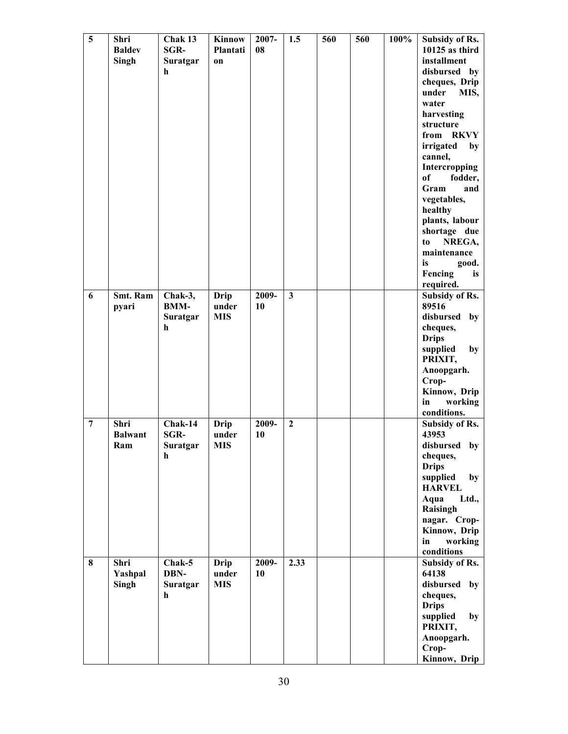| 5              | Shri<br><b>Baldev</b><br>Singh | Chak 13<br>SGR-<br>Suratgar<br>h        | <b>Kinnow</b><br>Plantati<br>on    | 2007-<br>08 | 1.5                     | 560 | 560 | 100% | <b>Subsidy of Rs.</b><br>$10125$ as third<br>installment<br>disbursed by<br>cheques, Drip<br>under<br>MIS,<br>water<br>harvesting<br>structure<br>from RKVY<br>irrigated<br>by<br>cannel,<br>Intercropping<br>of<br>fodder,<br>Gram<br>and<br>vegetables,<br>healthy<br>plants, labour<br>shortage due<br>NREGA,<br>to<br>maintenance<br>is<br>good.<br>Fencing<br>is<br>required. |
|----------------|--------------------------------|-----------------------------------------|------------------------------------|-------------|-------------------------|-----|-----|------|------------------------------------------------------------------------------------------------------------------------------------------------------------------------------------------------------------------------------------------------------------------------------------------------------------------------------------------------------------------------------------|
| 6              | Smt. Ram<br>pyari              | Chak-3,<br><b>BMM-</b><br>Suratgar<br>h | Drip<br>under<br><b>MIS</b>        | 2009-<br>10 | $\overline{\mathbf{3}}$ |     |     |      | <b>Subsidy of Rs.</b><br>89516<br>disbursed<br>by<br>cheques,<br><b>Drips</b><br>supplied<br>by<br>PRIXIT,<br>Anoopgarh.<br>Crop-<br>Kinnow, Drip<br>working<br>in<br>conditions.                                                                                                                                                                                                  |
| $\overline{7}$ | Shri<br><b>Balwant</b><br>Ram  | Chak-14<br><b>SGR-</b><br>Suratgar<br>h | <b>Drip</b><br>under<br><b>MIS</b> | 2009-<br>10 | $\overline{2}$          |     |     |      | Subsidy of Rs.<br>43953<br>disbursed by<br>cheques,<br><b>Drips</b><br>supplied<br>by<br><b>HARVEL</b><br>Aqua<br>Ltd.,<br>Raisingh<br>nagar. Crop-<br>Kinnow, Drip<br>in<br>working<br>conditions                                                                                                                                                                                 |
| 8              | Shri<br>Yashpal<br>Singh       | Chak-5<br>DBN-<br>Suratgar<br>h         | <b>Drip</b><br>under<br><b>MIS</b> | 2009-<br>10 | 2.33                    |     |     |      | Subsidy of Rs.<br>64138<br>disbursed<br>by<br>cheques,<br><b>Drips</b><br>supplied<br>by<br>PRIXIT,<br>Anoopgarh.<br>Crop-<br>Kinnow, Drip                                                                                                                                                                                                                                         |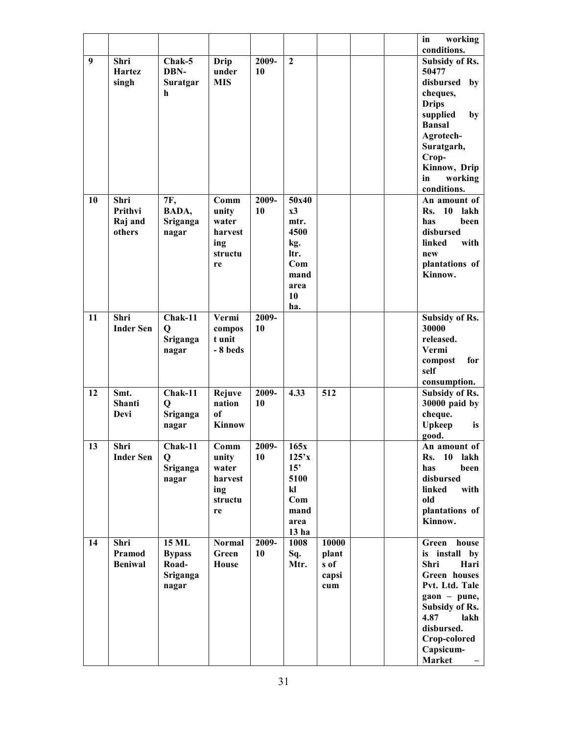|    |                                      |                                                             |                                                           |             |                                                                                         |                                        |  | working<br>in<br>conditions.                                                                                                                                                                             |
|----|--------------------------------------|-------------------------------------------------------------|-----------------------------------------------------------|-------------|-----------------------------------------------------------------------------------------|----------------------------------------|--|----------------------------------------------------------------------------------------------------------------------------------------------------------------------------------------------------------|
| 9  | Shri<br>Hartez<br>singh              | Chak-5<br>DBN-<br>Suratgar<br>h                             | Drip<br>under<br><b>MIS</b>                               | 2009-<br>10 | $\boldsymbol{2}$                                                                        |                                        |  | <b>Subsidy of Rs.</b><br>50477<br>disbursed<br>by<br>cheques,<br><b>Drips</b><br>supplied<br>by<br><b>Bansal</b>                                                                                         |
|    |                                      |                                                             |                                                           |             |                                                                                         |                                        |  | Agrotech-<br>Suratgarh,<br>Crop-<br>Kinnow, Drip<br>working<br>in<br>conditions.                                                                                                                         |
| 10 | Shri<br>Prithvi<br>Raj and<br>others | 7F,<br>BADA,<br>Sriganga<br>nagar                           | Comm<br>unity<br>water<br>harvest<br>ing<br>structu<br>re | 2009-<br>10 | 50x40<br>x3<br>mtr.<br>4500<br>kg.<br>ltr.<br>Com<br>mand<br>area<br>10<br>ha.          |                                        |  | An amount of<br>Rs.<br>10<br>lakh<br>has<br>been<br>disbursed<br>linked<br>with<br>new<br>plantations of<br>Kinnow.                                                                                      |
| 11 | Shri<br><b>Inder Sen</b>             | Chak-11<br>Q<br>Sriganga<br>nagar                           | Vermi<br>compos<br>t unit<br>-8 beds                      | 2009-<br>10 |                                                                                         |                                        |  | Subsidy of Rs.<br>30000<br>released.<br>Vermi<br>for<br>compost<br>self<br>consumption.                                                                                                                  |
| 12 | Smt.<br>Shanti<br>Devi               | Chak-11<br>Q<br>Sriganga<br>nagar                           | Rejuve<br>nation<br>of<br>Kinnow                          | 2009-<br>10 | 4.33                                                                                    | 512                                    |  | Subsidy of Rs.<br>30000 paid by<br>cheque.<br><b>Upkeep</b><br>is<br>good.                                                                                                                               |
| 13 | Shri<br><b>Inder Sen</b>             | Chak-11<br>$\mathbf Q$<br>Sriganga<br>nagar                 | Comm<br>unity<br>water<br>harvest<br>ing<br>structu<br>re | 2009-<br>10 | 165x<br>125'x<br>15'<br>5100<br>$\mathbf{k}$<br>Com<br>mand<br>area<br>13 <sub>ha</sub> |                                        |  | An amount of<br><b>Rs.</b> 10<br>lakh<br>has<br>been<br>disbursed<br>linked<br>with<br>old<br>plantations of<br>Kinnow.                                                                                  |
| 14 | Shri<br>Pramod<br><b>Beniwal</b>     | <b>15 ML</b><br><b>Bypass</b><br>Road-<br>Sriganga<br>nagar | <b>Normal</b><br>Green<br>House                           | 2009-<br>10 | 1008<br>Sq.<br>Mtr.                                                                     | 10000<br>plant<br>s of<br>capsi<br>cum |  | Green house<br>is install by<br>Shri<br>Hari<br>Green houses<br>Pvt. Ltd. Tale<br>$\mathbf{g}$ aon – pune,<br><b>Subsidy of Rs.</b><br>4.87<br>lakh<br>disbursed.<br>Crop-colored<br>Capsicum-<br>Market |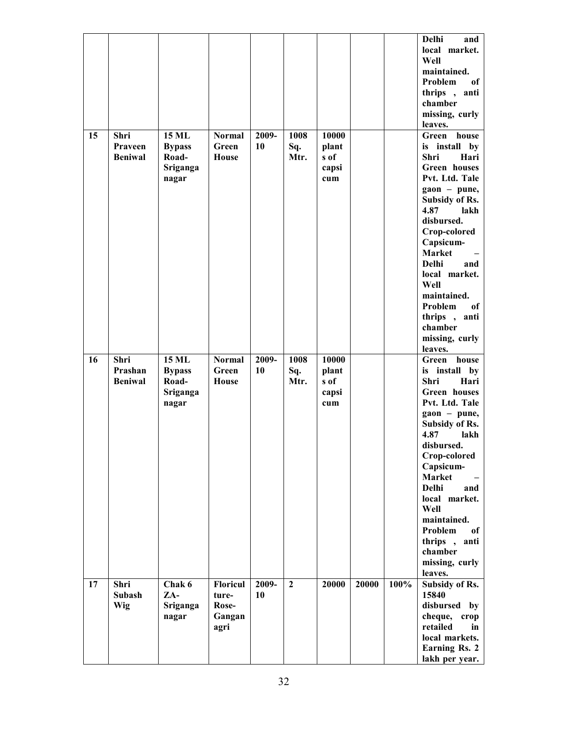|    |                                   |                                                             |                                                     |             |                     |                                        |       |      | <b>Delhi</b><br>and<br>local market.<br>Well<br>maintained.<br>Problem<br>of<br>thrips,<br>anti<br>chamber<br>missing, curly<br>leaves.                                                                                                                                                                                                        |
|----|-----------------------------------|-------------------------------------------------------------|-----------------------------------------------------|-------------|---------------------|----------------------------------------|-------|------|------------------------------------------------------------------------------------------------------------------------------------------------------------------------------------------------------------------------------------------------------------------------------------------------------------------------------------------------|
| 15 | Shri<br>Praveen<br><b>Beniwal</b> | <b>15 ML</b><br><b>Bypass</b><br>Road-<br>Sriganga<br>nagar | <b>Normal</b><br>Green<br>House                     | 2009-<br>10 | 1008<br>Sq.<br>Mtr. | 10000<br>plant<br>s of<br>capsi<br>cum |       |      | Green<br>house<br>is install<br>by<br>Shri<br>Hari<br>Green houses<br>Pvt. Ltd. Tale<br>gaon - pune,<br>Subsidy of Rs.<br>4.87<br>lakh<br>disbursed.<br>Crop-colored<br>Capsicum-<br><b>Market</b><br><b>Delhi</b><br>and<br>local market.<br>Well<br>maintained.<br>Problem<br>of<br>thrips, anti<br>chamber<br>missing, curly<br>leaves.     |
| 16 | Shri<br>Prashan<br><b>Beniwal</b> | <b>15 ML</b><br><b>Bypass</b><br>Road-<br>Sriganga<br>nagar | <b>Normal</b><br>Green<br>House                     | 2009-<br>10 | 1008<br>Sq.<br>Mtr. | 10000<br>plant<br>s of<br>capsi<br>cum |       |      | house<br>Green<br>is install<br>by<br>Shri<br>Hari<br>Green houses<br>Pvt. Ltd. Tale<br>gaon - pune,<br>Subsidy of Rs.<br>4.87<br>lakh<br>disbursed.<br>Crop-colored<br>Capsicum-<br>Market<br><b>Delhi</b><br>and<br>local market.<br>Well<br>maintained.<br>Problem<br><sub>of</sub><br>thrips, anti<br>chamber<br>missing, curly<br>leaves. |
| 17 | Shri<br>Subash<br>Wig             | Chak 6<br>ZA-<br>Sriganga<br>nagar                          | <b>Floricul</b><br>ture-<br>Rose-<br>Gangan<br>agri | 2009-<br>10 | $\overline{2}$      | 20000                                  | 20000 | 100% | Subsidy of Rs.<br>15840<br>disbursed by<br>cheque, crop<br>retailed<br>in<br>local markets.<br><b>Earning Rs. 2</b><br>lakh per year.                                                                                                                                                                                                          |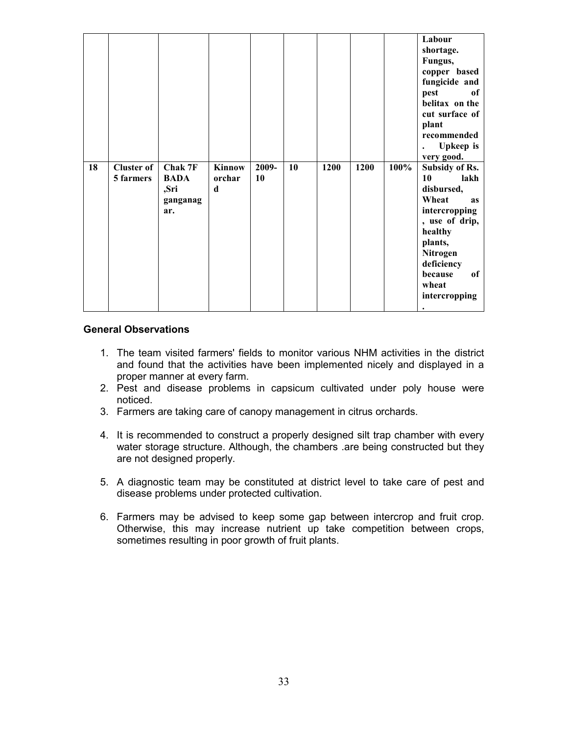| 18 | <b>Cluster of</b> | Chak 7F                                | <b>Kinnow</b> | 2009- | 10 | 1200 | 1200 | 100% | Labour<br>shortage.<br>Fungus,<br>copper based<br>fungicide and<br>pest<br><sub>of</sub><br>belitax on the<br>cut surface of<br>plant<br>recommended<br><b>Upkeep</b> is<br>very good.<br>Subsidy of Rs. |
|----|-------------------|----------------------------------------|---------------|-------|----|------|------|------|----------------------------------------------------------------------------------------------------------------------------------------------------------------------------------------------------------|
|    | 5 farmers         | <b>BADA</b><br>,Sri<br>ganganag<br>ar. | orchar<br>d   | 10    |    |      |      |      | lakh<br>10<br>disbursed,<br>Wheat<br><b>as</b><br>intercropping<br>, use of drip,<br>healthy<br>plants,<br>Nitrogen<br>deficiency<br>because<br>of<br>wheat<br>intercropping<br>$\bullet$                |

#### General Observations

- 1. The team visited farmers' fields to monitor various NHM activities in the district and found that the activities have been implemented nicely and displayed in a proper manner at every farm.
- 2. Pest and disease problems in capsicum cultivated under poly house were noticed.
- 3. Farmers are taking care of canopy management in citrus orchards.
- 4. It is recommended to construct a properly designed silt trap chamber with every water storage structure. Although, the chambers .are being constructed but they are not designed properly.
- 5. A diagnostic team may be constituted at district level to take care of pest and disease problems under protected cultivation.
- 6. Farmers may be advised to keep some gap between intercrop and fruit crop. Otherwise, this may increase nutrient up take competition between crops, sometimes resulting in poor growth of fruit plants.